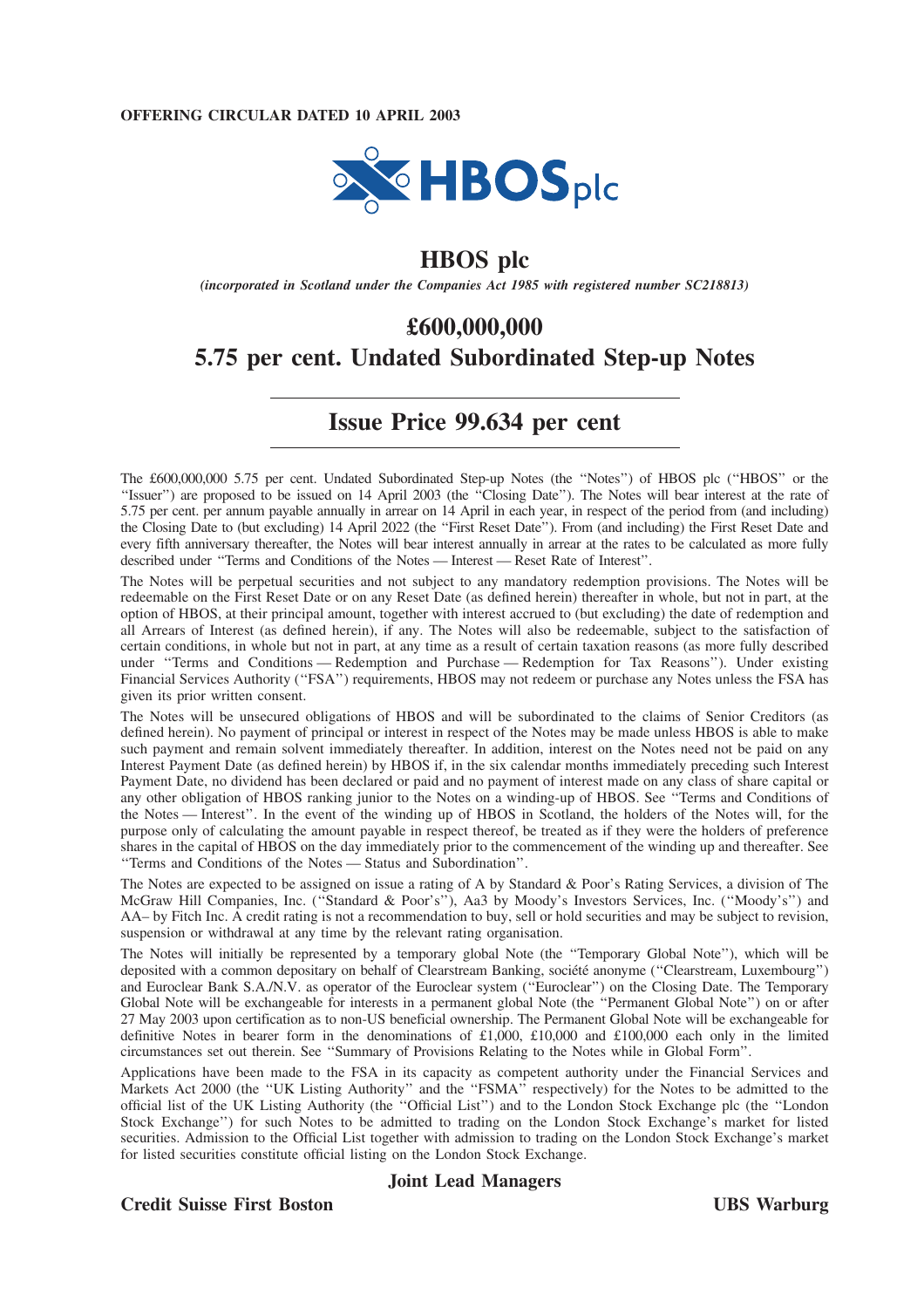

# **HBOS plc**

*(incorporated in Scotland under the Companies Act 1985 with registered number SC218813)*

# **£600,000,000 5.75 per cent. Undated Subordinated Step-up Notes**

# **Issue Price 99.634 per cent**

The £600,000,000 5.75 per cent. Undated Subordinated Step-up Notes (the "Notes") of HBOS plc ("HBOS" or the ''Issuer'') are proposed to be issued on 14 April 2003 (the ''Closing Date''). The Notes will bear interest at the rate of 5.75 per cent. per annum payable annually in arrear on 14 April in each year, in respect of the period from (and including) the Closing Date to (but excluding) 14 April 2022 (the ''First Reset Date''). From (and including) the First Reset Date and every fifth anniversary thereafter, the Notes will bear interest annually in arrear at the rates to be calculated as more fully described under ''Terms and Conditions of the Notes — Interest — Reset Rate of Interest''.

The Notes will be perpetual securities and not subject to any mandatory redemption provisions. The Notes will be redeemable on the First Reset Date or on any Reset Date (as defined herein) thereafter in whole, but not in part, at the option of HBOS, at their principal amount, together with interest accrued to (but excluding) the date of redemption and all Arrears of Interest (as defined herein), if any. The Notes will also be redeemable, subject to the satisfaction of certain conditions, in whole but not in part, at any time as a result of certain taxation reasons (as more fully described under ''Terms and Conditions — Redemption and Purchase — Redemption for Tax Reasons''). Under existing Financial Services Authority (''FSA'') requirements, HBOS may not redeem or purchase any Notes unless the FSA has given its prior written consent.

The Notes will be unsecured obligations of HBOS and will be subordinated to the claims of Senior Creditors (as defined herein). No payment of principal or interest in respect of the Notes may be made unless HBOS is able to make such payment and remain solvent immediately thereafter. In addition, interest on the Notes need not be paid on any Interest Payment Date (as defined herein) by HBOS if, in the six calendar months immediately preceding such Interest Payment Date, no dividend has been declared or paid and no payment of interest made on any class of share capital or any other obligation of HBOS ranking junior to the Notes on a winding-up of HBOS. See ''Terms and Conditions of the Notes — Interest''. In the event of the winding up of HBOS in Scotland, the holders of the Notes will, for the purpose only of calculating the amount payable in respect thereof, be treated as if they were the holders of preference shares in the capital of HBOS on the day immediately prior to the commencement of the winding up and thereafter. See ''Terms and Conditions of the Notes — Status and Subordination''.

The Notes are expected to be assigned on issue a rating of A by Standard & Poor's Rating Services, a division of The McGraw Hill Companies, Inc. (''Standard & Poor's''), Aa3 by Moody's Investors Services, Inc. (''Moody's'') and AA– by Fitch Inc. A credit rating is not a recommendation to buy, sell or hold securities and may be subject to revision, suspension or withdrawal at any time by the relevant rating organisation.

The Notes will initially be represented by a temporary global Note (the ''Temporary Global Note''), which will be deposited with a common depositary on behalf of Clearstream Banking, société anonyme ("Clearstream, Luxembourg") and Euroclear Bank S.A./N.V. as operator of the Euroclear system (''Euroclear'') on the Closing Date. The Temporary Global Note will be exchangeable for interests in a permanent global Note (the ''Permanent Global Note'') on or after 27 May 2003 upon certification as to non-US beneficial ownership. The Permanent Global Note will be exchangeable for definitive Notes in bearer form in the denominations of £1,000, £10,000 and £100,000 each only in the limited circumstances set out therein. See ''Summary of Provisions Relating to the Notes while in Global Form''.

Applications have been made to the FSA in its capacity as competent authority under the Financial Services and Markets Act 2000 (the "UK Listing Authority" and the "FSMA" respectively) for the Notes to be admitted to the official list of the UK Listing Authority (the ''Official List'') and to the London Stock Exchange plc (the ''London Stock Exchange'') for such Notes to be admitted to trading on the London Stock Exchange's market for listed securities. Admission to the Official List together with admission to trading on the London Stock Exchange's market for listed securities constitute official listing on the London Stock Exchange.

# **Joint Lead Managers**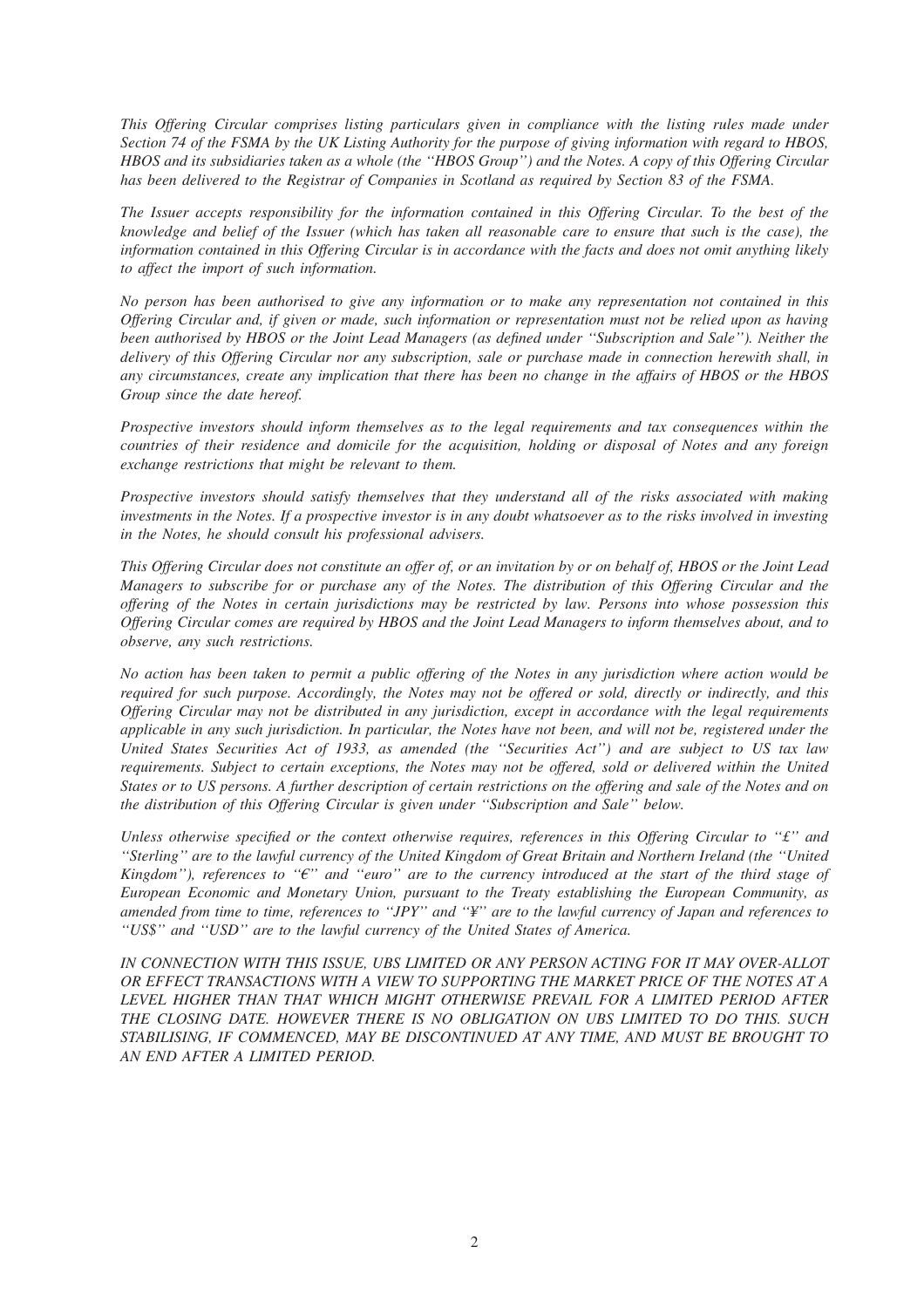*This Offering Circular comprises listing particulars given in compliance with the listing rules made under Section 74 of the FSMA by the UK Listing Authority for the purpose of giving information with regard to HBOS, HBOS and its subsidiaries taken as a whole (the ''HBOS Group'') and the Notes. A copy of this Offering Circular has been delivered to the Registrar of Companies in Scotland as required by Section 83 of the FSMA.*

*The Issuer accepts responsibility for the information contained in this Offering Circular. To the best of the knowledge and belief of the Issuer (which has taken all reasonable care to ensure that such is the case), the information contained in this Offering Circular is in accordance with the facts and does not omit anything likely to affect the import of such information.*

*No person has been authorised to give any information or to make any representation not contained in this Offering Circular and, if given or made, such information or representation must not be relied upon as having been authorised by HBOS or the Joint Lead Managers (as defined under ''Subscription and Sale''). Neither the delivery of this Offering Circular nor any subscription, sale or purchase made in connection herewith shall, in any circumstances, create any implication that there has been no change in the affairs of HBOS or the HBOS Group since the date hereof.*

*Prospective investors should inform themselves as to the legal requirements and tax consequences within the countries of their residence and domicile for the acquisition, holding or disposal of Notes and any foreign exchange restrictions that might be relevant to them.*

*Prospective investors should satisfy themselves that they understand all of the risks associated with making investments in the Notes. If a prospective investor is in any doubt whatsoever as to the risks involved in investing in the Notes, he should consult his professional advisers.*

*This Offering Circular does not constitute an offer of, or an invitation by or on behalf of, HBOS or the Joint Lead Managers to subscribe for or purchase any of the Notes. The distribution of this Offering Circular and the offering of the Notes in certain jurisdictions may be restricted by law. Persons into whose possession this Offering Circular comes are required by HBOS and the Joint Lead Managers to inform themselves about, and to observe, any such restrictions.*

*No action has been taken to permit a public offering of the Notes in any jurisdiction where action would be required for such purpose. Accordingly, the Notes may not be offered or sold, directly or indirectly, and this Offering Circular may not be distributed in any jurisdiction, except in accordance with the legal requirements applicable in any such jurisdiction. In particular, the Notes have not been, and will not be, registered under the United States Securities Act of 1933, as amended (the ''Securities Act'') and are subject to US tax law requirements. Subject to certain exceptions, the Notes may not be offered, sold or delivered within the United States or to US persons. A further description of certain restrictions on the offering and sale of the Notes and on the distribution of this Offering Circular is given under ''Subscription and Sale'' below.*

*Unless otherwise specified or the context otherwise requires, references in this Offering Circular to ''£'' and ''Sterling'' are to the lawful currency of the United Kingdom of Great Britain and Northern Ireland (the ''United Kingdom''), references to "* $\epsilon$ *" and "euro" are to the currency introduced at the start of the third stage of European Economic and Monetary Union, pursuant to the Treaty establishing the European Community, as amended from time to time, references to ''JPY'' and ''¥'' are to the lawful currency of Japan and references to ''US\$'' and ''USD'' are to the lawful currency of the United States of America.*

*IN CONNECTION WITH THIS ISSUE, UBS LIMITED OR ANY PERSON ACTING FOR IT MAY OVER-ALLOT OR EFFECT TRANSACTIONS WITH A VIEW TO SUPPORTING THE MARKET PRICE OF THE NOTES AT A LEVEL HIGHER THAN THAT WHICH MIGHT OTHERWISE PREVAIL FOR A LIMITED PERIOD AFTER THE CLOSING DATE. HOWEVER THERE IS NO OBLIGATION ON UBS LIMITED TO DO THIS. SUCH STABILISING, IF COMMENCED, MAY BE DISCONTINUED AT ANY TIME, AND MUST BE BROUGHT TO AN END AFTER A LIMITED PERIOD.*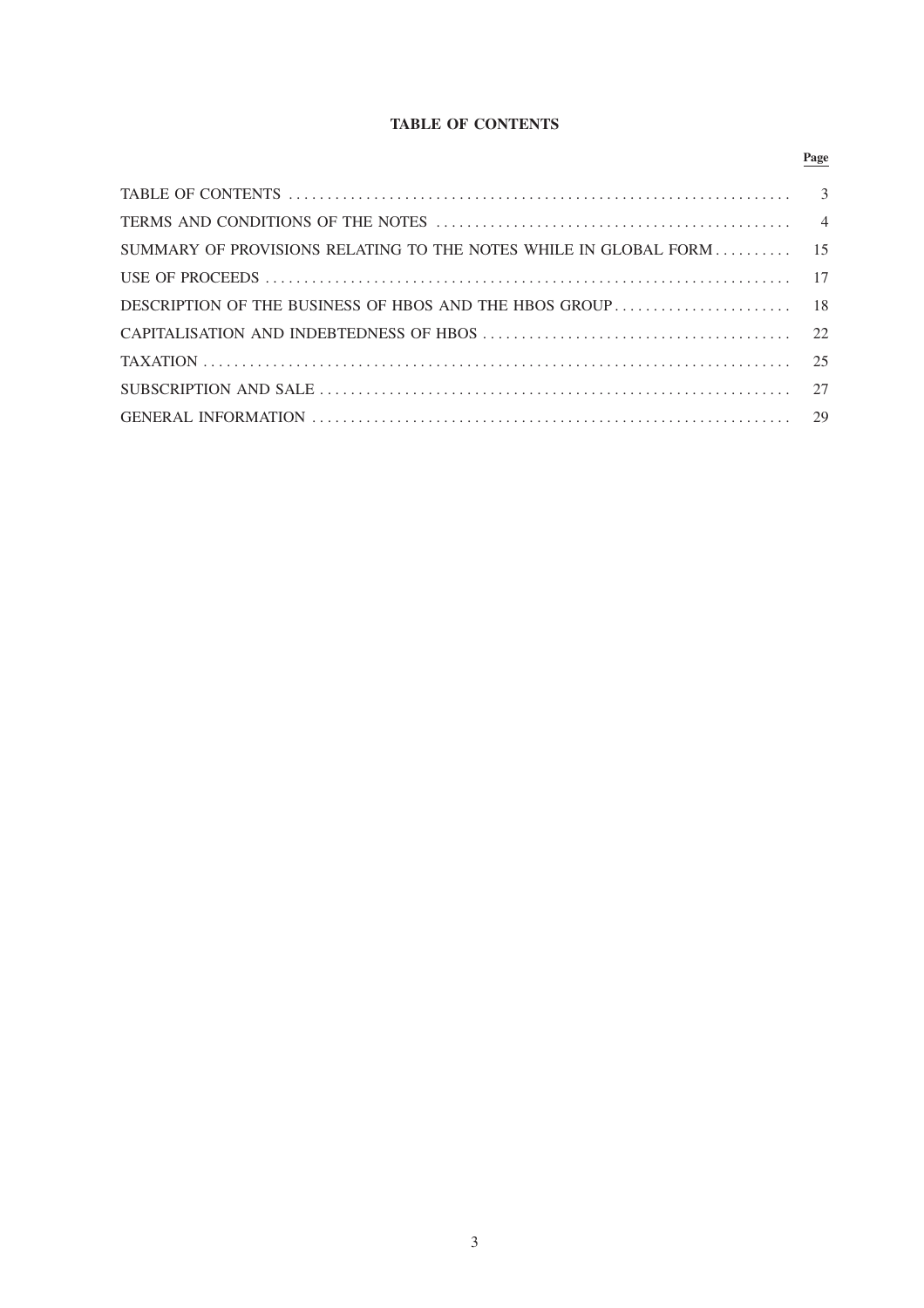# **TABLE OF CONTENTS**

|                                                                                                                                                                                                                                                                                                                                         | Page |
|-----------------------------------------------------------------------------------------------------------------------------------------------------------------------------------------------------------------------------------------------------------------------------------------------------------------------------------------|------|
|                                                                                                                                                                                                                                                                                                                                         |      |
|                                                                                                                                                                                                                                                                                                                                         |      |
| SUMMARY OF PROVISIONS RELATING TO THE NOTES WHILE IN GLOBAL FORM  15                                                                                                                                                                                                                                                                    |      |
|                                                                                                                                                                                                                                                                                                                                         |      |
|                                                                                                                                                                                                                                                                                                                                         |      |
|                                                                                                                                                                                                                                                                                                                                         |      |
| TAXATION $\ldots$ $\ldots$ $\ldots$ $\ldots$ $\ldots$ $\ldots$ $\ldots$ $\ldots$ $\ldots$ $\ldots$ $\ldots$ $\ldots$ $\ldots$ $\ldots$ $\ldots$ $\ldots$ $\ldots$ $\ldots$ $\ldots$ $\ldots$ $\ldots$ $\ldots$ $\ldots$ $\ldots$ $\ldots$ $\ldots$ $\ldots$ $\ldots$ $\ldots$ $\ldots$ $\ldots$ $\ldots$ $\ldots$ $\ldots$ $\ldots$ $\$ |      |
|                                                                                                                                                                                                                                                                                                                                         |      |
|                                                                                                                                                                                                                                                                                                                                         |      |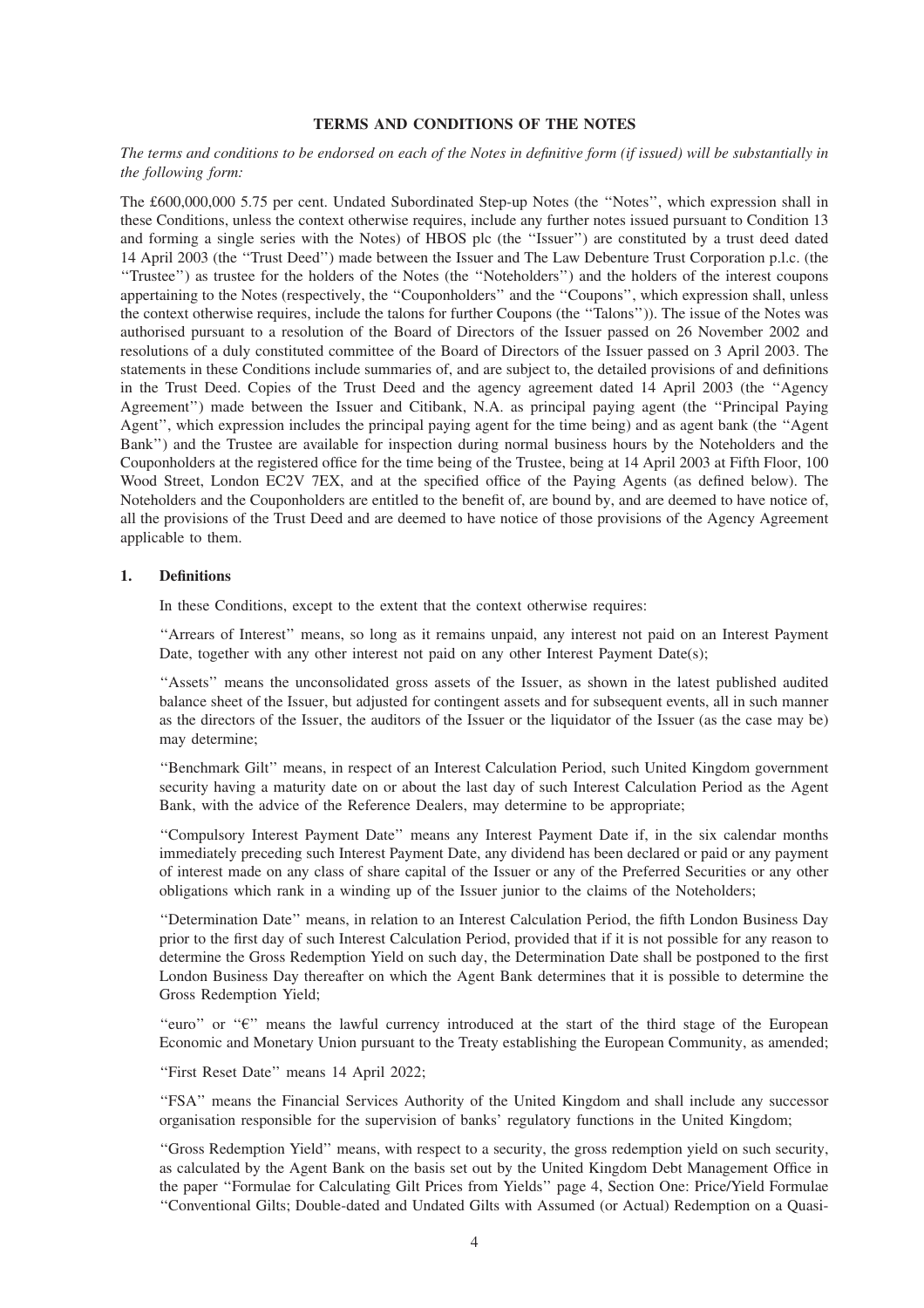# **TERMS AND CONDITIONS OF THE NOTES**

# *The terms and conditions to be endorsed on each of the Notes in definitive form (if issued) will be substantially in the following form:*

The £600,000,000 5.75 per cent. Undated Subordinated Step-up Notes (the ''Notes'', which expression shall in these Conditions, unless the context otherwise requires, include any further notes issued pursuant to Condition 13 and forming a single series with the Notes) of HBOS plc (the ''Issuer'') are constituted by a trust deed dated 14 April 2003 (the ''Trust Deed'') made between the Issuer and The Law Debenture Trust Corporation p.l.c. (the ''Trustee'') as trustee for the holders of the Notes (the ''Noteholders'') and the holders of the interest coupons appertaining to the Notes (respectively, the ''Couponholders'' and the ''Coupons'', which expression shall, unless the context otherwise requires, include the talons for further Coupons (the ''Talons'')). The issue of the Notes was authorised pursuant to a resolution of the Board of Directors of the Issuer passed on 26 November 2002 and resolutions of a duly constituted committee of the Board of Directors of the Issuer passed on 3 April 2003. The statements in these Conditions include summaries of, and are subject to, the detailed provisions of and definitions in the Trust Deed. Copies of the Trust Deed and the agency agreement dated 14 April 2003 (the ''Agency Agreement'') made between the Issuer and Citibank, N.A. as principal paying agent (the ''Principal Paying Agent'', which expression includes the principal paying agent for the time being) and as agent bank (the ''Agent Bank'') and the Trustee are available for inspection during normal business hours by the Noteholders and the Couponholders at the registered office for the time being of the Trustee, being at 14 April 2003 at Fifth Floor, 100 Wood Street, London EC2V 7EX, and at the specified office of the Paying Agents (as defined below). The Noteholders and the Couponholders are entitled to the benefit of, are bound by, and are deemed to have notice of, all the provisions of the Trust Deed and are deemed to have notice of those provisions of the Agency Agreement applicable to them.

# **1. Definitions**

In these Conditions, except to the extent that the context otherwise requires:

''Arrears of Interest'' means, so long as it remains unpaid, any interest not paid on an Interest Payment Date, together with any other interest not paid on any other Interest Payment Date(s);

''Assets'' means the unconsolidated gross assets of the Issuer, as shown in the latest published audited balance sheet of the Issuer, but adjusted for contingent assets and for subsequent events, all in such manner as the directors of the Issuer, the auditors of the Issuer or the liquidator of the Issuer (as the case may be) may determine;

''Benchmark Gilt'' means, in respect of an Interest Calculation Period, such United Kingdom government security having a maturity date on or about the last day of such Interest Calculation Period as the Agent Bank, with the advice of the Reference Dealers, may determine to be appropriate;

''Compulsory Interest Payment Date'' means any Interest Payment Date if, in the six calendar months immediately preceding such Interest Payment Date, any dividend has been declared or paid or any payment of interest made on any class of share capital of the Issuer or any of the Preferred Securities or any other obligations which rank in a winding up of the Issuer junior to the claims of the Noteholders;

''Determination Date'' means, in relation to an Interest Calculation Period, the fifth London Business Day prior to the first day of such Interest Calculation Period, provided that if it is not possible for any reason to determine the Gross Redemption Yield on such day, the Determination Date shall be postponed to the first London Business Day thereafter on which the Agent Bank determines that it is possible to determine the Gross Redemption Yield;

"euro" or " $\epsilon$ " means the lawful currency introduced at the start of the third stage of the European Economic and Monetary Union pursuant to the Treaty establishing the European Community, as amended;

''First Reset Date'' means 14 April 2022;

''FSA'' means the Financial Services Authority of the United Kingdom and shall include any successor organisation responsible for the supervision of banks' regulatory functions in the United Kingdom;

''Gross Redemption Yield'' means, with respect to a security, the gross redemption yield on such security, as calculated by the Agent Bank on the basis set out by the United Kingdom Debt Management Office in the paper ''Formulae for Calculating Gilt Prices from Yields'' page 4, Section One: Price/Yield Formulae ''Conventional Gilts; Double-dated and Undated Gilts with Assumed (or Actual) Redemption on a Quasi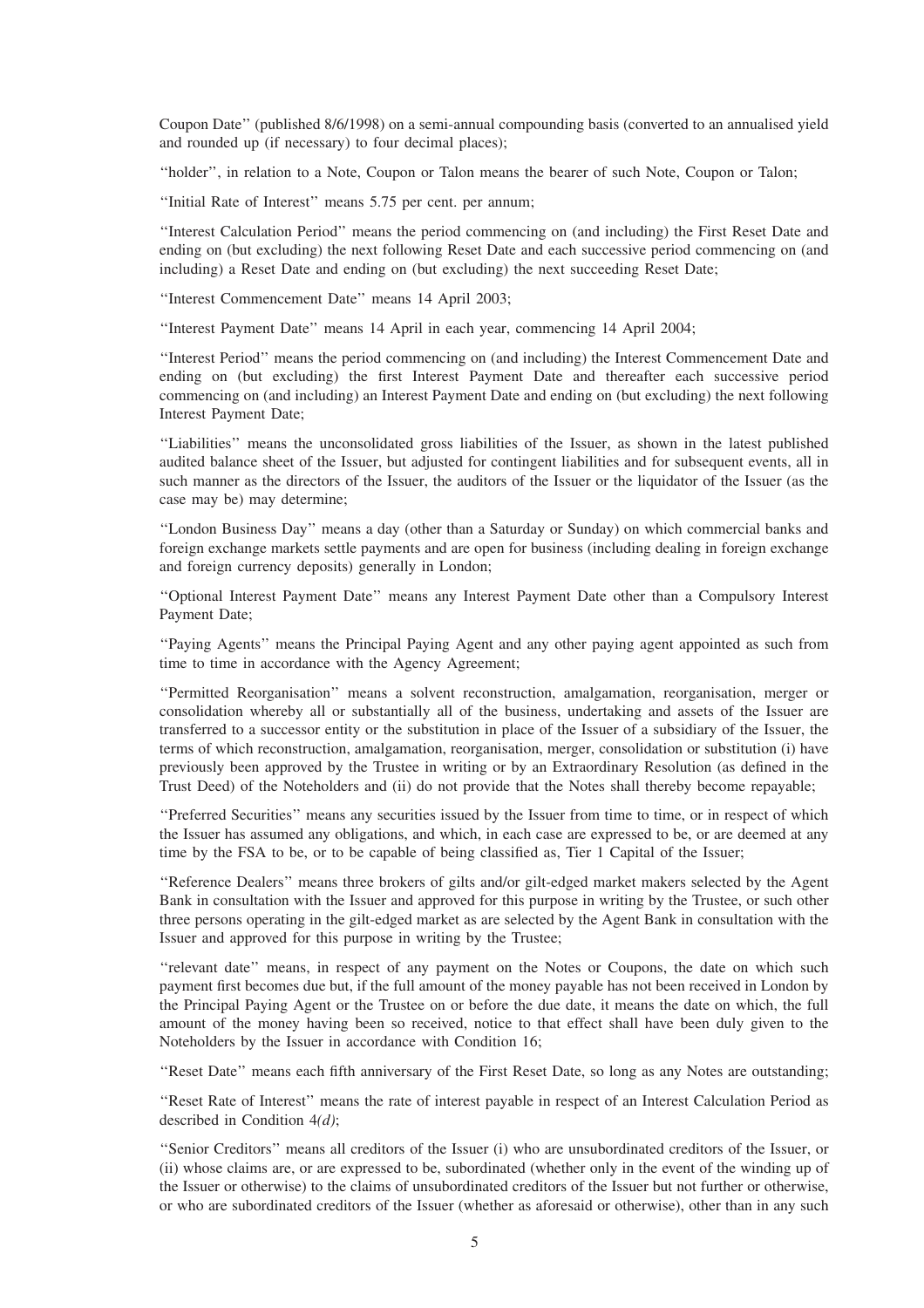Coupon Date'' (published 8/6/1998) on a semi-annual compounding basis (converted to an annualised yield and rounded up (if necessary) to four decimal places);

''holder'', in relation to a Note, Coupon or Talon means the bearer of such Note, Coupon or Talon;

''Initial Rate of Interest'' means 5.75 per cent. per annum;

''Interest Calculation Period'' means the period commencing on (and including) the First Reset Date and ending on (but excluding) the next following Reset Date and each successive period commencing on (and including) a Reset Date and ending on (but excluding) the next succeeding Reset Date;

''Interest Commencement Date'' means 14 April 2003;

''Interest Payment Date'' means 14 April in each year, commencing 14 April 2004;

''Interest Period'' means the period commencing on (and including) the Interest Commencement Date and ending on (but excluding) the first Interest Payment Date and thereafter each successive period commencing on (and including) an Interest Payment Date and ending on (but excluding) the next following Interest Payment Date;

''Liabilities'' means the unconsolidated gross liabilities of the Issuer, as shown in the latest published audited balance sheet of the Issuer, but adjusted for contingent liabilities and for subsequent events, all in such manner as the directors of the Issuer, the auditors of the Issuer or the liquidator of the Issuer (as the case may be) may determine;

''London Business Day'' means a day (other than a Saturday or Sunday) on which commercial banks and foreign exchange markets settle payments and are open for business (including dealing in foreign exchange and foreign currency deposits) generally in London;

''Optional Interest Payment Date'' means any Interest Payment Date other than a Compulsory Interest Payment Date;

''Paying Agents'' means the Principal Paying Agent and any other paying agent appointed as such from time to time in accordance with the Agency Agreement;

''Permitted Reorganisation'' means a solvent reconstruction, amalgamation, reorganisation, merger or consolidation whereby all or substantially all of the business, undertaking and assets of the Issuer are transferred to a successor entity or the substitution in place of the Issuer of a subsidiary of the Issuer, the terms of which reconstruction, amalgamation, reorganisation, merger, consolidation or substitution (i) have previously been approved by the Trustee in writing or by an Extraordinary Resolution (as defined in the Trust Deed) of the Noteholders and (ii) do not provide that the Notes shall thereby become repayable;

''Preferred Securities'' means any securities issued by the Issuer from time to time, or in respect of which the Issuer has assumed any obligations, and which, in each case are expressed to be, or are deemed at any time by the FSA to be, or to be capable of being classified as, Tier 1 Capital of the Issuer;

''Reference Dealers'' means three brokers of gilts and/or gilt-edged market makers selected by the Agent Bank in consultation with the Issuer and approved for this purpose in writing by the Trustee, or such other three persons operating in the gilt-edged market as are selected by the Agent Bank in consultation with the Issuer and approved for this purpose in writing by the Trustee;

''relevant date'' means, in respect of any payment on the Notes or Coupons, the date on which such payment first becomes due but, if the full amount of the money payable has not been received in London by the Principal Paying Agent or the Trustee on or before the due date, it means the date on which, the full amount of the money having been so received, notice to that effect shall have been duly given to the Noteholders by the Issuer in accordance with Condition 16;

''Reset Date'' means each fifth anniversary of the First Reset Date, so long as any Notes are outstanding;

''Reset Rate of Interest'' means the rate of interest payable in respect of an Interest Calculation Period as described in Condition 4*(d)*;

''Senior Creditors'' means all creditors of the Issuer (i) who are unsubordinated creditors of the Issuer, or (ii) whose claims are, or are expressed to be, subordinated (whether only in the event of the winding up of the Issuer or otherwise) to the claims of unsubordinated creditors of the Issuer but not further or otherwise, or who are subordinated creditors of the Issuer (whether as aforesaid or otherwise), other than in any such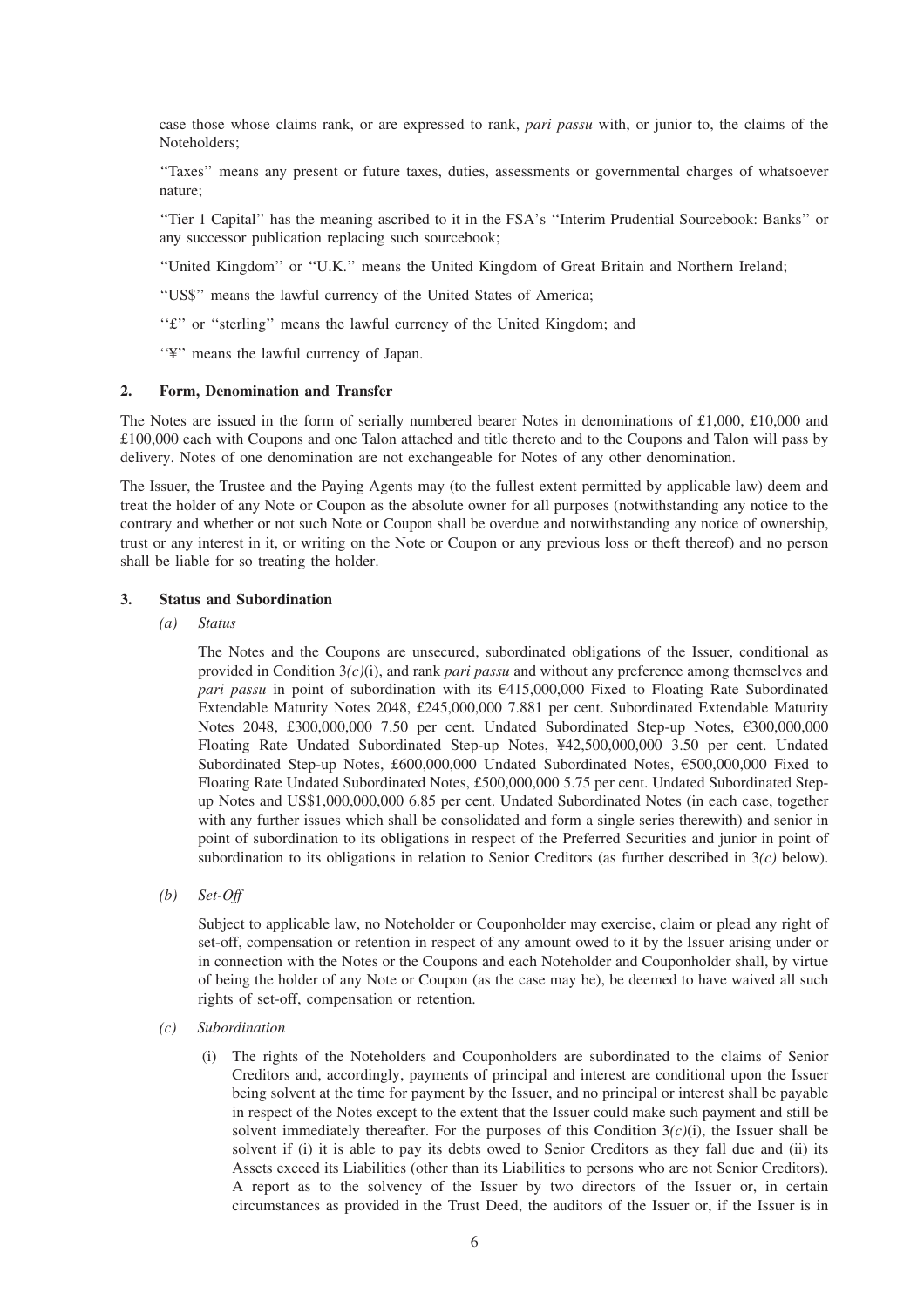case those whose claims rank, or are expressed to rank, *pari passu* with, or junior to, the claims of the Noteholders;

''Taxes'' means any present or future taxes, duties, assessments or governmental charges of whatsoever nature;

''Tier 1 Capital'' has the meaning ascribed to it in the FSA's ''Interim Prudential Sourcebook: Banks'' or any successor publication replacing such sourcebook;

''United Kingdom'' or ''U.K.'' means the United Kingdom of Great Britain and Northern Ireland;

''US\$'' means the lawful currency of the United States of America;

''£'' or ''sterling'' means the lawful currency of the United Kingdom; and

''¥'' means the lawful currency of Japan.

#### **2. Form, Denomination and Transfer**

The Notes are issued in the form of serially numbered bearer Notes in denominations of £1,000, £10,000 and £100,000 each with Coupons and one Talon attached and title thereto and to the Coupons and Talon will pass by delivery. Notes of one denomination are not exchangeable for Notes of any other denomination.

The Issuer, the Trustee and the Paying Agents may (to the fullest extent permitted by applicable law) deem and treat the holder of any Note or Coupon as the absolute owner for all purposes (notwithstanding any notice to the contrary and whether or not such Note or Coupon shall be overdue and notwithstanding any notice of ownership, trust or any interest in it, or writing on the Note or Coupon or any previous loss or theft thereof) and no person shall be liable for so treating the holder.

## **3. Status and Subordination**

*(a) Status*

The Notes and the Coupons are unsecured, subordinated obligations of the Issuer, conditional as provided in Condition 3*(c)*(i), and rank *pari passu* and without any preference among themselves and *pari passu* in point of subordination with its  $6415,000,000$  Fixed to Floating Rate Subordinated Extendable Maturity Notes 2048, £245,000,000 7.881 per cent. Subordinated Extendable Maturity Notes 2048, £300,000,000 7.50 per cent. Undated Subordinated Step-up Notes, €300,000,000 Floating Rate Undated Subordinated Step-up Notes, ¥42,500,000,000 3.50 per cent. Undated Subordinated Step-up Notes, £600,000,000 Undated Subordinated Notes, £500,000,000 Fixed to Floating Rate Undated Subordinated Notes, £500,000,000 5.75 per cent. Undated Subordinated Stepup Notes and US\$1,000,000,000 6.85 per cent. Undated Subordinated Notes (in each case, together with any further issues which shall be consolidated and form a single series therewith) and senior in point of subordination to its obligations in respect of the Preferred Securities and junior in point of subordination to its obligations in relation to Senior Creditors (as further described in 3*(c)* below).

*(b) Set-Off*

Subject to applicable law, no Noteholder or Couponholder may exercise, claim or plead any right of set-off, compensation or retention in respect of any amount owed to it by the Issuer arising under or in connection with the Notes or the Coupons and each Noteholder and Couponholder shall, by virtue of being the holder of any Note or Coupon (as the case may be), be deemed to have waived all such rights of set-off, compensation or retention.

- *(c) Subordination*
	- (i) The rights of the Noteholders and Couponholders are subordinated to the claims of Senior Creditors and, accordingly, payments of principal and interest are conditional upon the Issuer being solvent at the time for payment by the Issuer, and no principal or interest shall be payable in respect of the Notes except to the extent that the Issuer could make such payment and still be solvent immediately thereafter. For the purposes of this Condition  $3(c)(i)$ , the Issuer shall be solvent if (i) it is able to pay its debts owed to Senior Creditors as they fall due and (ii) its Assets exceed its Liabilities (other than its Liabilities to persons who are not Senior Creditors). A report as to the solvency of the Issuer by two directors of the Issuer or, in certain circumstances as provided in the Trust Deed, the auditors of the Issuer or, if the Issuer is in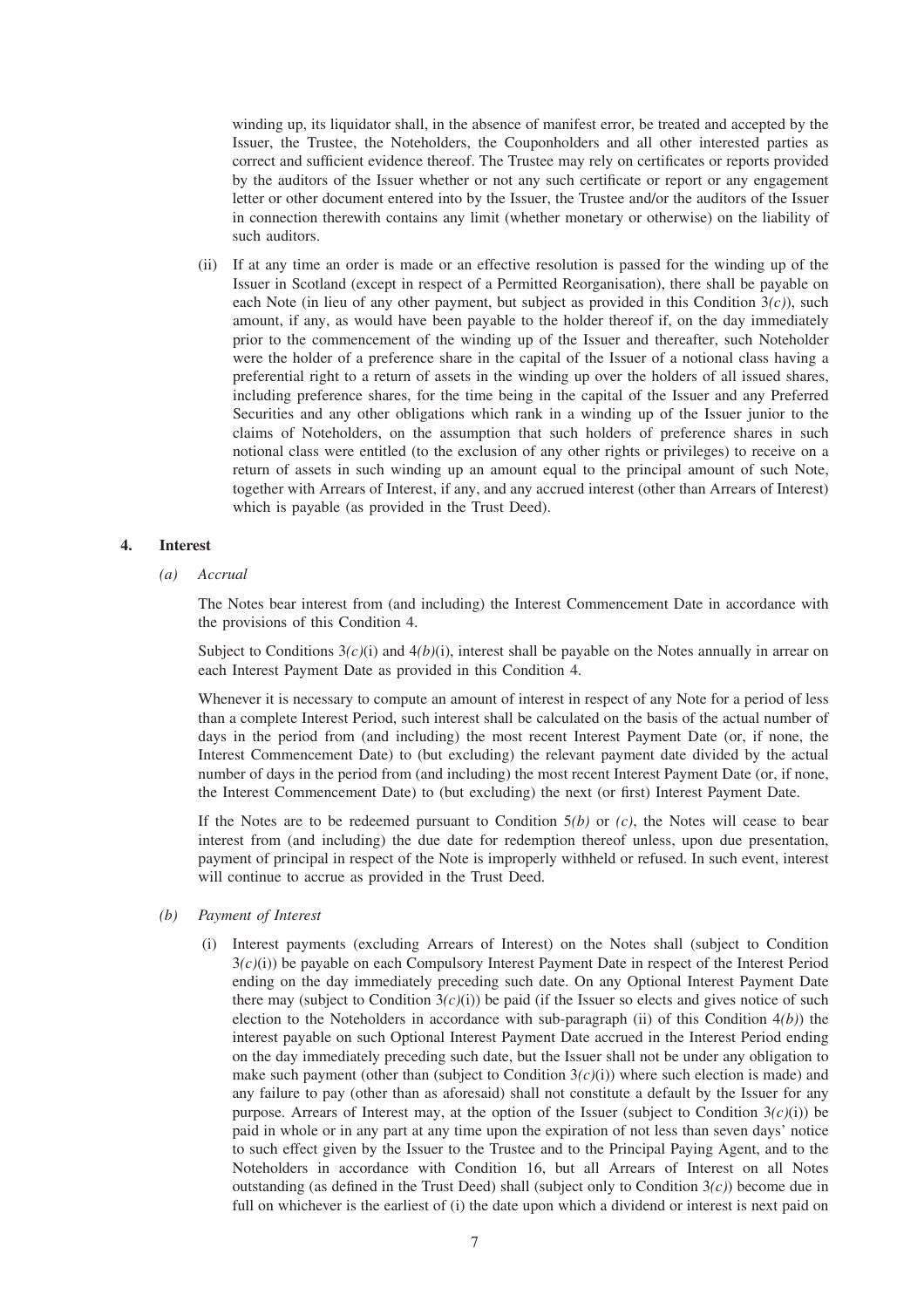winding up, its liquidator shall, in the absence of manifest error, be treated and accepted by the Issuer, the Trustee, the Noteholders, the Couponholders and all other interested parties as correct and sufficient evidence thereof. The Trustee may rely on certificates or reports provided by the auditors of the Issuer whether or not any such certificate or report or any engagement letter or other document entered into by the Issuer, the Trustee and/or the auditors of the Issuer in connection therewith contains any limit (whether monetary or otherwise) on the liability of such auditors.

(ii) If at any time an order is made or an effective resolution is passed for the winding up of the Issuer in Scotland (except in respect of a Permitted Reorganisation), there shall be payable on each Note (in lieu of any other payment, but subject as provided in this Condition 3*(c)*), such amount, if any, as would have been payable to the holder thereof if, on the day immediately prior to the commencement of the winding up of the Issuer and thereafter, such Noteholder were the holder of a preference share in the capital of the Issuer of a notional class having a preferential right to a return of assets in the winding up over the holders of all issued shares, including preference shares, for the time being in the capital of the Issuer and any Preferred Securities and any other obligations which rank in a winding up of the Issuer junior to the claims of Noteholders, on the assumption that such holders of preference shares in such notional class were entitled (to the exclusion of any other rights or privileges) to receive on a return of assets in such winding up an amount equal to the principal amount of such Note, together with Arrears of Interest, if any, and any accrued interest (other than Arrears of Interest) which is payable (as provided in the Trust Deed).

# **4. Interest**

*(a) Accrual*

The Notes bear interest from (and including) the Interest Commencement Date in accordance with the provisions of this Condition 4.

Subject to Conditions 3*(c)*(i) and 4*(b)*(i), interest shall be payable on the Notes annually in arrear on each Interest Payment Date as provided in this Condition 4.

Whenever it is necessary to compute an amount of interest in respect of any Note for a period of less than a complete Interest Period, such interest shall be calculated on the basis of the actual number of days in the period from (and including) the most recent Interest Payment Date (or, if none, the Interest Commencement Date) to (but excluding) the relevant payment date divided by the actual number of days in the period from (and including) the most recent Interest Payment Date (or, if none, the Interest Commencement Date) to (but excluding) the next (or first) Interest Payment Date.

If the Notes are to be redeemed pursuant to Condition 5*(b)* or *(c)*, the Notes will cease to bear interest from (and including) the due date for redemption thereof unless, upon due presentation, payment of principal in respect of the Note is improperly withheld or refused. In such event, interest will continue to accrue as provided in the Trust Deed.

#### *(b) Payment of Interest*

(i) Interest payments (excluding Arrears of Interest) on the Notes shall (subject to Condition 3*(c)*(i)) be payable on each Compulsory Interest Payment Date in respect of the Interest Period ending on the day immediately preceding such date. On any Optional Interest Payment Date there may (subject to Condition  $3(c)(i)$ ) be paid (if the Issuer so elects and gives notice of such election to the Noteholders in accordance with sub-paragraph (ii) of this Condition 4*(b)*) the interest payable on such Optional Interest Payment Date accrued in the Interest Period ending on the day immediately preceding such date, but the Issuer shall not be under any obligation to make such payment (other than (subject to Condition  $3(c)(i)$ ) where such election is made) and any failure to pay (other than as aforesaid) shall not constitute a default by the Issuer for any purpose. Arrears of Interest may, at the option of the Issuer (subject to Condition  $3(c)(i)$ ) be paid in whole or in any part at any time upon the expiration of not less than seven days' notice to such effect given by the Issuer to the Trustee and to the Principal Paying Agent, and to the Noteholders in accordance with Condition 16, but all Arrears of Interest on all Notes outstanding (as defined in the Trust Deed) shall (subject only to Condition  $3(c)$ ) become due in full on whichever is the earliest of (i) the date upon which a dividend or interest is next paid on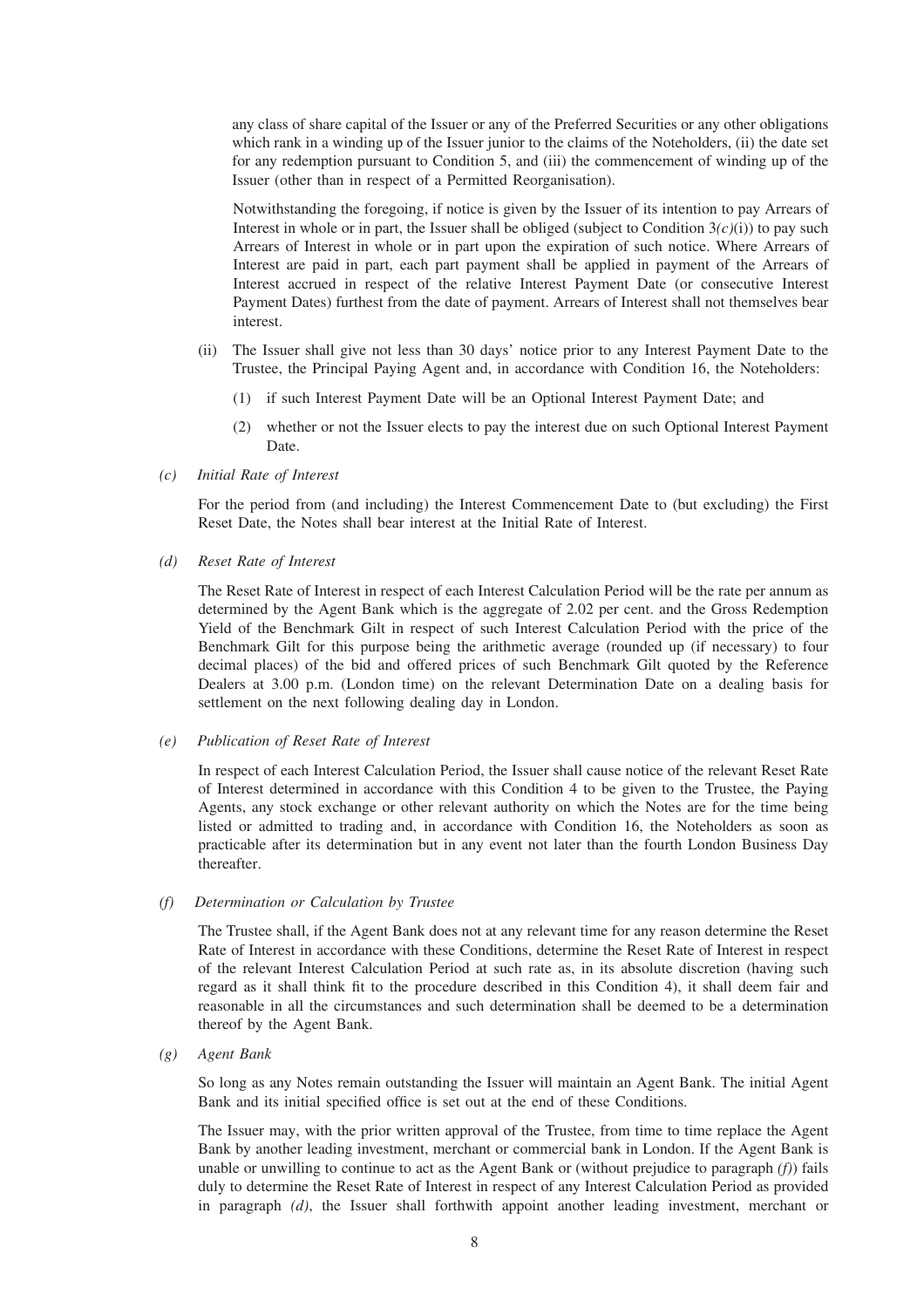any class of share capital of the Issuer or any of the Preferred Securities or any other obligations which rank in a winding up of the Issuer junior to the claims of the Noteholders, (ii) the date set for any redemption pursuant to Condition 5, and (iii) the commencement of winding up of the Issuer (other than in respect of a Permitted Reorganisation).

Notwithstanding the foregoing, if notice is given by the Issuer of its intention to pay Arrears of Interest in whole or in part, the Issuer shall be obliged (subject to Condition  $3(c)(i)$ ) to pay such Arrears of Interest in whole or in part upon the expiration of such notice. Where Arrears of Interest are paid in part, each part payment shall be applied in payment of the Arrears of Interest accrued in respect of the relative Interest Payment Date (or consecutive Interest Payment Dates) furthest from the date of payment. Arrears of Interest shall not themselves bear interest.

- (ii) The Issuer shall give not less than 30 days' notice prior to any Interest Payment Date to the Trustee, the Principal Paying Agent and, in accordance with Condition 16, the Noteholders:
	- (1) if such Interest Payment Date will be an Optional Interest Payment Date; and
	- (2) whether or not the Issuer elects to pay the interest due on such Optional Interest Payment Date.
- *(c) Initial Rate of Interest*

For the period from (and including) the Interest Commencement Date to (but excluding) the First Reset Date, the Notes shall bear interest at the Initial Rate of Interest.

*(d) Reset Rate of Interest*

The Reset Rate of Interest in respect of each Interest Calculation Period will be the rate per annum as determined by the Agent Bank which is the aggregate of 2.02 per cent. and the Gross Redemption Yield of the Benchmark Gilt in respect of such Interest Calculation Period with the price of the Benchmark Gilt for this purpose being the arithmetic average (rounded up (if necessary) to four decimal places) of the bid and offered prices of such Benchmark Gilt quoted by the Reference Dealers at 3.00 p.m. (London time) on the relevant Determination Date on a dealing basis for settlement on the next following dealing day in London.

*(e) Publication of Reset Rate of Interest*

In respect of each Interest Calculation Period, the Issuer shall cause notice of the relevant Reset Rate of Interest determined in accordance with this Condition 4 to be given to the Trustee, the Paying Agents, any stock exchange or other relevant authority on which the Notes are for the time being listed or admitted to trading and, in accordance with Condition 16, the Noteholders as soon as practicable after its determination but in any event not later than the fourth London Business Day thereafter.

*(f) Determination or Calculation by Trustee*

The Trustee shall, if the Agent Bank does not at any relevant time for any reason determine the Reset Rate of Interest in accordance with these Conditions, determine the Reset Rate of Interest in respect of the relevant Interest Calculation Period at such rate as, in its absolute discretion (having such regard as it shall think fit to the procedure described in this Condition 4), it shall deem fair and reasonable in all the circumstances and such determination shall be deemed to be a determination thereof by the Agent Bank.

*(g) Agent Bank*

So long as any Notes remain outstanding the Issuer will maintain an Agent Bank. The initial Agent Bank and its initial specified office is set out at the end of these Conditions.

The Issuer may, with the prior written approval of the Trustee, from time to time replace the Agent Bank by another leading investment, merchant or commercial bank in London. If the Agent Bank is unable or unwilling to continue to act as the Agent Bank or (without prejudice to paragraph *(f)*) fails duly to determine the Reset Rate of Interest in respect of any Interest Calculation Period as provided in paragraph *(d)*, the Issuer shall forthwith appoint another leading investment, merchant or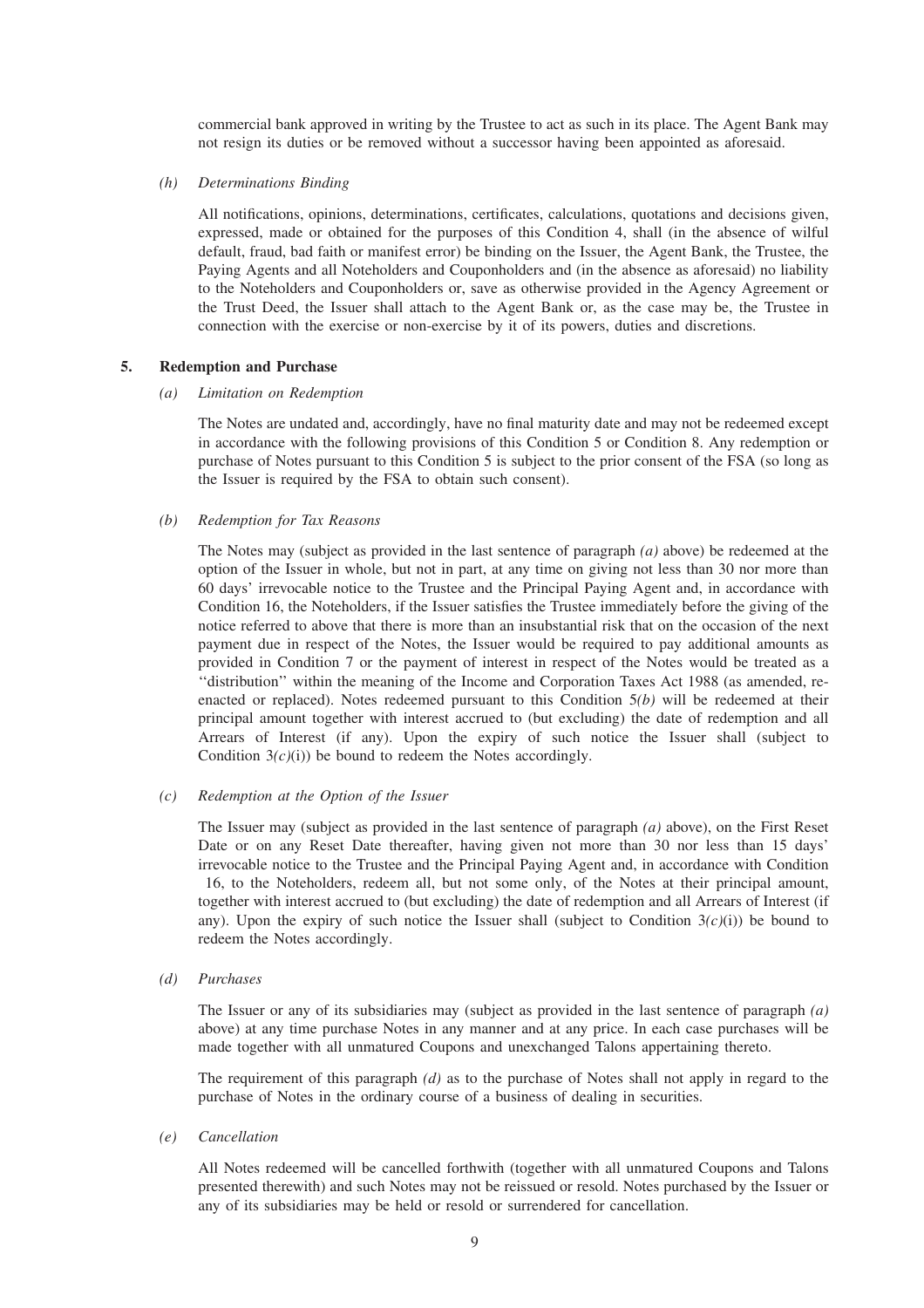commercial bank approved in writing by the Trustee to act as such in its place. The Agent Bank may not resign its duties or be removed without a successor having been appointed as aforesaid.

#### *(h) Determinations Binding*

All notifications, opinions, determinations, certificates, calculations, quotations and decisions given, expressed, made or obtained for the purposes of this Condition 4, shall (in the absence of wilful default, fraud, bad faith or manifest error) be binding on the Issuer, the Agent Bank, the Trustee, the Paying Agents and all Noteholders and Couponholders and (in the absence as aforesaid) no liability to the Noteholders and Couponholders or, save as otherwise provided in the Agency Agreement or the Trust Deed, the Issuer shall attach to the Agent Bank or, as the case may be, the Trustee in connection with the exercise or non-exercise by it of its powers, duties and discretions.

#### **5. Redemption and Purchase**

#### *(a) Limitation on Redemption*

The Notes are undated and, accordingly, have no final maturity date and may not be redeemed except in accordance with the following provisions of this Condition 5 or Condition 8. Any redemption or purchase of Notes pursuant to this Condition 5 is subject to the prior consent of the FSA (so long as the Issuer is required by the FSA to obtain such consent).

#### *(b) Redemption for Tax Reasons*

The Notes may (subject as provided in the last sentence of paragraph *(a)* above) be redeemed at the option of the Issuer in whole, but not in part, at any time on giving not less than 30 nor more than 60 days' irrevocable notice to the Trustee and the Principal Paying Agent and, in accordance with Condition 16, the Noteholders, if the Issuer satisfies the Trustee immediately before the giving of the notice referred to above that there is more than an insubstantial risk that on the occasion of the next payment due in respect of the Notes, the Issuer would be required to pay additional amounts as provided in Condition 7 or the payment of interest in respect of the Notes would be treated as a ''distribution'' within the meaning of the Income and Corporation Taxes Act 1988 (as amended, reenacted or replaced). Notes redeemed pursuant to this Condition 5*(b)* will be redeemed at their principal amount together with interest accrued to (but excluding) the date of redemption and all Arrears of Interest (if any). Upon the expiry of such notice the Issuer shall (subject to Condition  $3(c)(i)$  be bound to redeem the Notes accordingly.

#### *(c) Redemption at the Option of the Issuer*

The Issuer may (subject as provided in the last sentence of paragraph *(a)* above), on the First Reset Date or on any Reset Date thereafter, having given not more than 30 nor less than 15 days' irrevocable notice to the Trustee and the Principal Paying Agent and, in accordance with Condition 16, to the Noteholders, redeem all, but not some only, of the Notes at their principal amount, together with interest accrued to (but excluding) the date of redemption and all Arrears of Interest (if any). Upon the expiry of such notice the Issuer shall (subject to Condition  $3(c)(i)$ ) be bound to redeem the Notes accordingly.

#### *(d) Purchases*

The Issuer or any of its subsidiaries may (subject as provided in the last sentence of paragraph *(a)* above) at any time purchase Notes in any manner and at any price. In each case purchases will be made together with all unmatured Coupons and unexchanged Talons appertaining thereto.

The requirement of this paragraph *(d)* as to the purchase of Notes shall not apply in regard to the purchase of Notes in the ordinary course of a business of dealing in securities.

#### *(e) Cancellation*

All Notes redeemed will be cancelled forthwith (together with all unmatured Coupons and Talons presented therewith) and such Notes may not be reissued or resold. Notes purchased by the Issuer or any of its subsidiaries may be held or resold or surrendered for cancellation.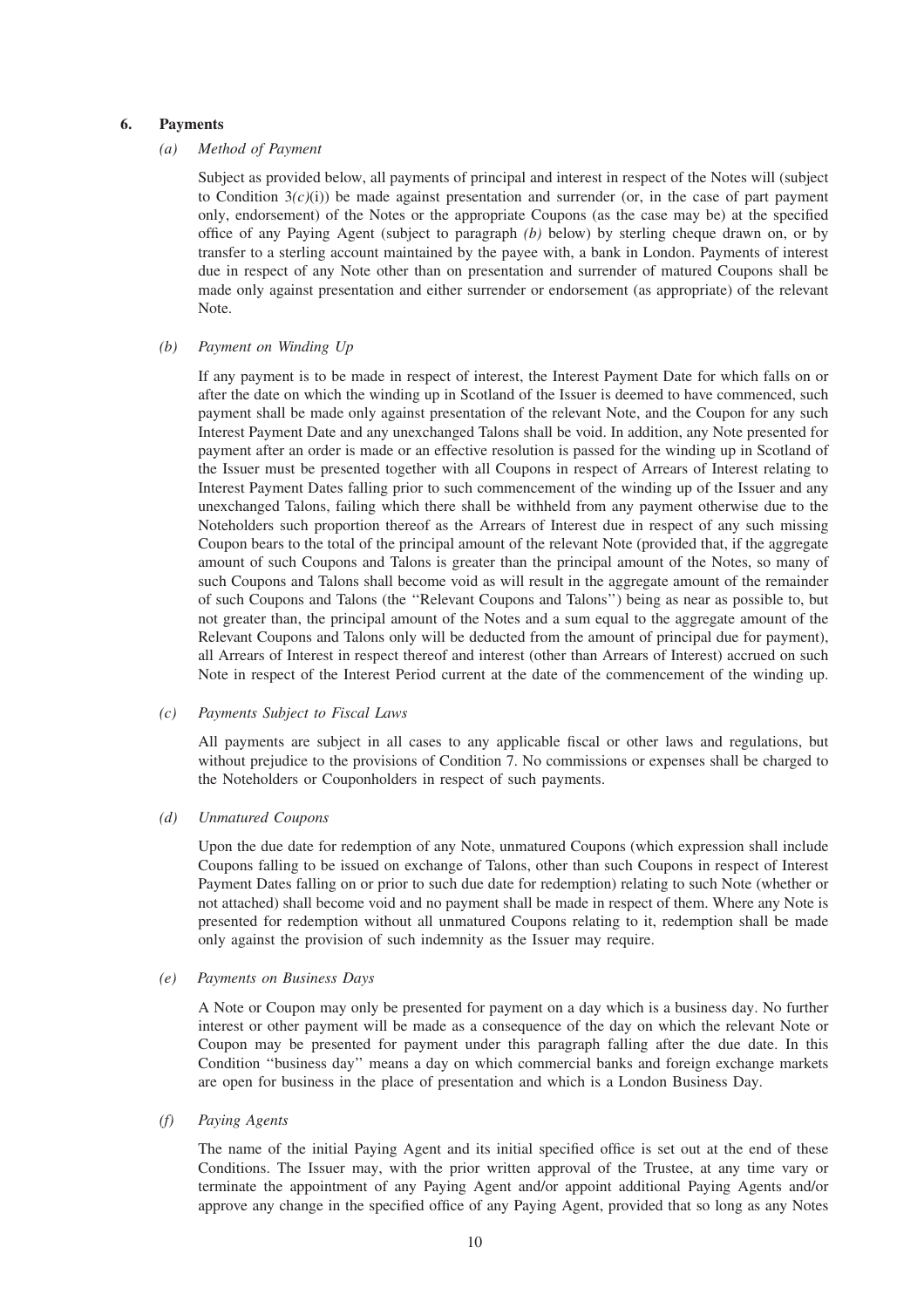#### **6. Payments**

#### *(a) Method of Payment*

Subject as provided below, all payments of principal and interest in respect of the Notes will (subject to Condition  $3(c)(i)$ ) be made against presentation and surrender (or, in the case of part payment only, endorsement) of the Notes or the appropriate Coupons (as the case may be) at the specified office of any Paying Agent (subject to paragraph *(b)* below) by sterling cheque drawn on, or by transfer to a sterling account maintained by the payee with, a bank in London. Payments of interest due in respect of any Note other than on presentation and surrender of matured Coupons shall be made only against presentation and either surrender or endorsement (as appropriate) of the relevant Note.

# *(b) Payment on Winding Up*

If any payment is to be made in respect of interest, the Interest Payment Date for which falls on or after the date on which the winding up in Scotland of the Issuer is deemed to have commenced, such payment shall be made only against presentation of the relevant Note, and the Coupon for any such Interest Payment Date and any unexchanged Talons shall be void. In addition, any Note presented for payment after an order is made or an effective resolution is passed for the winding up in Scotland of the Issuer must be presented together with all Coupons in respect of Arrears of Interest relating to Interest Payment Dates falling prior to such commencement of the winding up of the Issuer and any unexchanged Talons, failing which there shall be withheld from any payment otherwise due to the Noteholders such proportion thereof as the Arrears of Interest due in respect of any such missing Coupon bears to the total of the principal amount of the relevant Note (provided that, if the aggregate amount of such Coupons and Talons is greater than the principal amount of the Notes, so many of such Coupons and Talons shall become void as will result in the aggregate amount of the remainder of such Coupons and Talons (the ''Relevant Coupons and Talons'') being as near as possible to, but not greater than, the principal amount of the Notes and a sum equal to the aggregate amount of the Relevant Coupons and Talons only will be deducted from the amount of principal due for payment), all Arrears of Interest in respect thereof and interest (other than Arrears of Interest) accrued on such Note in respect of the Interest Period current at the date of the commencement of the winding up.

#### *(c) Payments Subject to Fiscal Laws*

All payments are subject in all cases to any applicable fiscal or other laws and regulations, but without prejudice to the provisions of Condition 7. No commissions or expenses shall be charged to the Noteholders or Couponholders in respect of such payments.

#### *(d) Unmatured Coupons*

Upon the due date for redemption of any Note, unmatured Coupons (which expression shall include Coupons falling to be issued on exchange of Talons, other than such Coupons in respect of Interest Payment Dates falling on or prior to such due date for redemption) relating to such Note (whether or not attached) shall become void and no payment shall be made in respect of them. Where any Note is presented for redemption without all unmatured Coupons relating to it, redemption shall be made only against the provision of such indemnity as the Issuer may require.

#### *(e) Payments on Business Days*

A Note or Coupon may only be presented for payment on a day which is a business day. No further interest or other payment will be made as a consequence of the day on which the relevant Note or Coupon may be presented for payment under this paragraph falling after the due date. In this Condition ''business day'' means a day on which commercial banks and foreign exchange markets are open for business in the place of presentation and which is a London Business Day.

#### *(f) Paying Agents*

The name of the initial Paying Agent and its initial specified office is set out at the end of these Conditions. The Issuer may, with the prior written approval of the Trustee, at any time vary or terminate the appointment of any Paying Agent and/or appoint additional Paying Agents and/or approve any change in the specified office of any Paying Agent, provided that so long as any Notes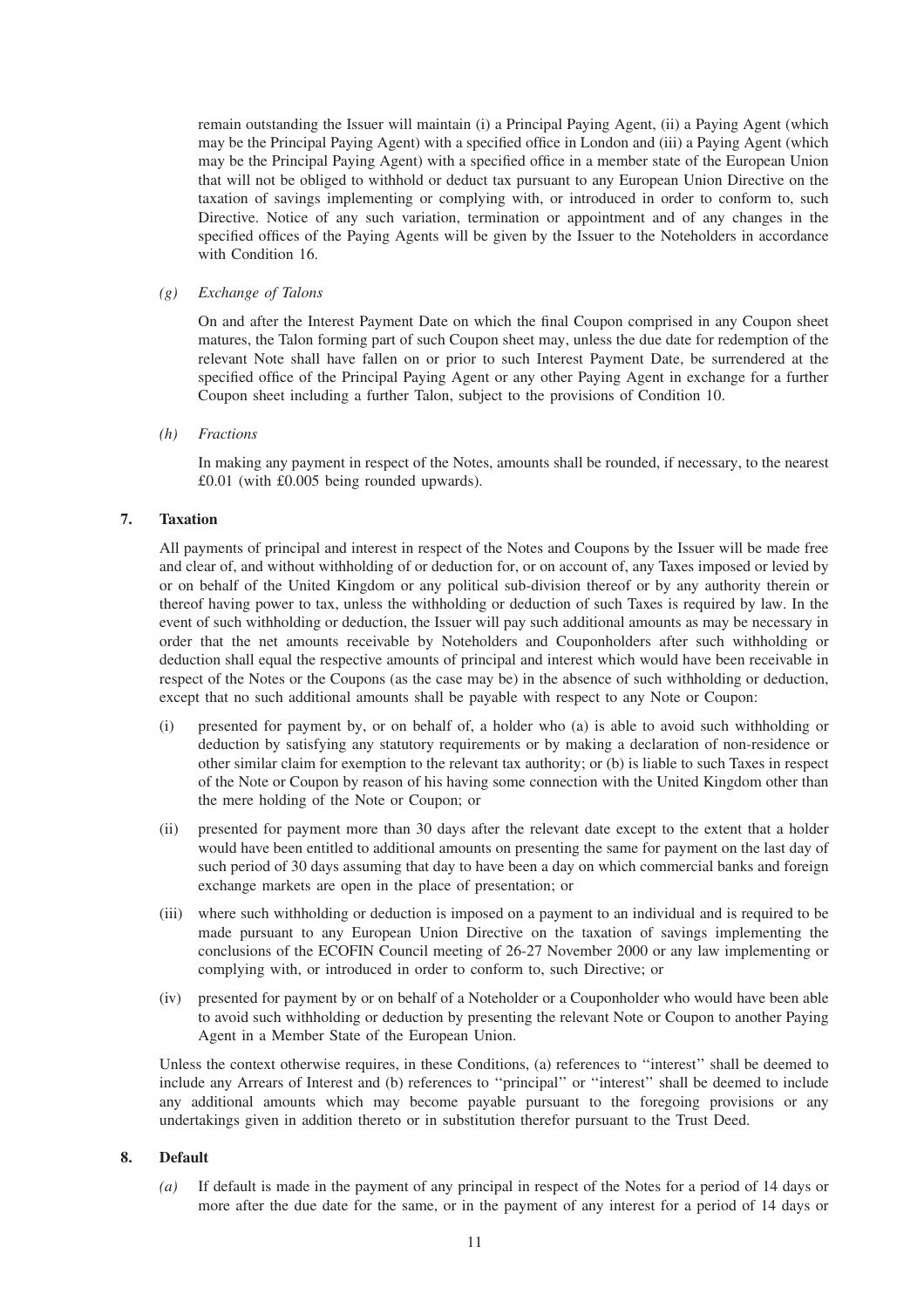remain outstanding the Issuer will maintain (i) a Principal Paying Agent, (ii) a Paying Agent (which may be the Principal Paying Agent) with a specified office in London and (iii) a Paying Agent (which may be the Principal Paying Agent) with a specified office in a member state of the European Union that will not be obliged to withhold or deduct tax pursuant to any European Union Directive on the taxation of savings implementing or complying with, or introduced in order to conform to, such Directive. Notice of any such variation, termination or appointment and of any changes in the specified offices of the Paying Agents will be given by the Issuer to the Noteholders in accordance with Condition 16.

# *(g) Exchange of Talons*

On and after the Interest Payment Date on which the final Coupon comprised in any Coupon sheet matures, the Talon forming part of such Coupon sheet may, unless the due date for redemption of the relevant Note shall have fallen on or prior to such Interest Payment Date, be surrendered at the specified office of the Principal Paying Agent or any other Paying Agent in exchange for a further Coupon sheet including a further Talon, subject to the provisions of Condition 10.

# *(h) Fractions*

In making any payment in respect of the Notes, amounts shall be rounded, if necessary, to the nearest £0.01 (with £0.005 being rounded upwards).

# **7. Taxation**

All payments of principal and interest in respect of the Notes and Coupons by the Issuer will be made free and clear of, and without withholding of or deduction for, or on account of, any Taxes imposed or levied by or on behalf of the United Kingdom or any political sub-division thereof or by any authority therein or thereof having power to tax, unless the withholding or deduction of such Taxes is required by law. In the event of such withholding or deduction, the Issuer will pay such additional amounts as may be necessary in order that the net amounts receivable by Noteholders and Couponholders after such withholding or deduction shall equal the respective amounts of principal and interest which would have been receivable in respect of the Notes or the Coupons (as the case may be) in the absence of such withholding or deduction, except that no such additional amounts shall be payable with respect to any Note or Coupon:

- (i) presented for payment by, or on behalf of, a holder who (a) is able to avoid such withholding or deduction by satisfying any statutory requirements or by making a declaration of non-residence or other similar claim for exemption to the relevant tax authority; or (b) is liable to such Taxes in respect of the Note or Coupon by reason of his having some connection with the United Kingdom other than the mere holding of the Note or Coupon; or
- (ii) presented for payment more than 30 days after the relevant date except to the extent that a holder would have been entitled to additional amounts on presenting the same for payment on the last day of such period of 30 days assuming that day to have been a day on which commercial banks and foreign exchange markets are open in the place of presentation; or
- (iii) where such withholding or deduction is imposed on a payment to an individual and is required to be made pursuant to any European Union Directive on the taxation of savings implementing the conclusions of the ECOFIN Council meeting of 26-27 November 2000 or any law implementing or complying with, or introduced in order to conform to, such Directive; or
- (iv) presented for payment by or on behalf of a Noteholder or a Couponholder who would have been able to avoid such withholding or deduction by presenting the relevant Note or Coupon to another Paying Agent in a Member State of the European Union.

Unless the context otherwise requires, in these Conditions, (a) references to ''interest'' shall be deemed to include any Arrears of Interest and (b) references to ''principal'' or ''interest'' shall be deemed to include any additional amounts which may become payable pursuant to the foregoing provisions or any undertakings given in addition thereto or in substitution therefor pursuant to the Trust Deed.

# **8. Default**

*(a)* If default is made in the payment of any principal in respect of the Notes for a period of 14 days or more after the due date for the same, or in the payment of any interest for a period of 14 days or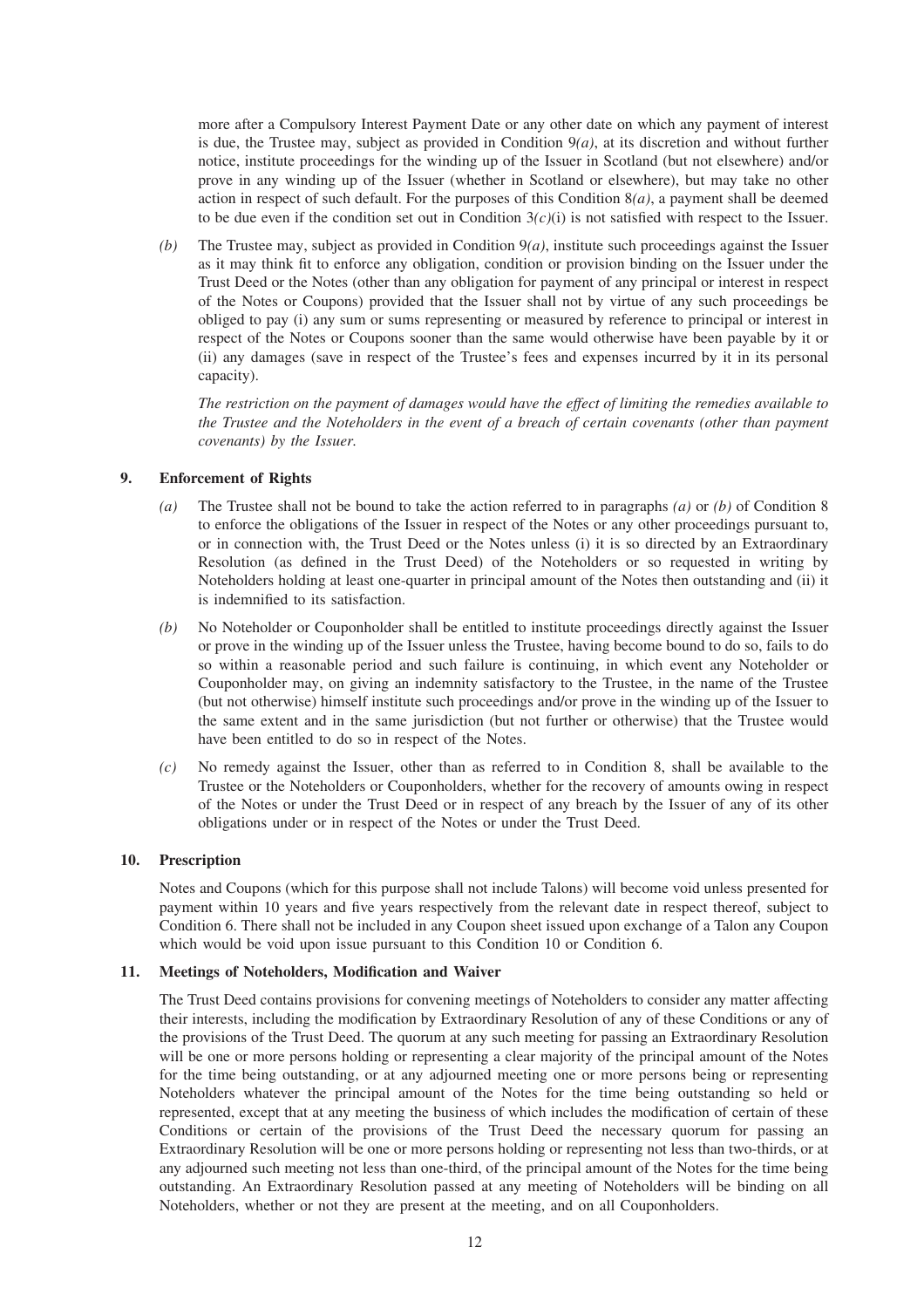more after a Compulsory Interest Payment Date or any other date on which any payment of interest is due, the Trustee may, subject as provided in Condition  $9(a)$ , at its discretion and without further notice, institute proceedings for the winding up of the Issuer in Scotland (but not elsewhere) and/or prove in any winding up of the Issuer (whether in Scotland or elsewhere), but may take no other action in respect of such default. For the purposes of this Condition 8*(a)*, a payment shall be deemed to be due even if the condition set out in Condition 3*(c)*(i) is not satisfied with respect to the Issuer.

*(b)* The Trustee may, subject as provided in Condition 9*(a)*, institute such proceedings against the Issuer as it may think fit to enforce any obligation, condition or provision binding on the Issuer under the Trust Deed or the Notes (other than any obligation for payment of any principal or interest in respect of the Notes or Coupons) provided that the Issuer shall not by virtue of any such proceedings be obliged to pay (i) any sum or sums representing or measured by reference to principal or interest in respect of the Notes or Coupons sooner than the same would otherwise have been payable by it or (ii) any damages (save in respect of the Trustee's fees and expenses incurred by it in its personal capacity).

*The restriction on the payment of damages would have the effect of limiting the remedies available to the Trustee and the Noteholders in the event of a breach of certain covenants (other than payment covenants) by the Issuer.*

# **9. Enforcement of Rights**

- *(a)* The Trustee shall not be bound to take the action referred to in paragraphs *(a)* or *(b)* of Condition 8 to enforce the obligations of the Issuer in respect of the Notes or any other proceedings pursuant to, or in connection with, the Trust Deed or the Notes unless (i) it is so directed by an Extraordinary Resolution (as defined in the Trust Deed) of the Noteholders or so requested in writing by Noteholders holding at least one-quarter in principal amount of the Notes then outstanding and (ii) it is indemnified to its satisfaction.
- *(b)* No Noteholder or Couponholder shall be entitled to institute proceedings directly against the Issuer or prove in the winding up of the Issuer unless the Trustee, having become bound to do so, fails to do so within a reasonable period and such failure is continuing, in which event any Noteholder or Couponholder may, on giving an indemnity satisfactory to the Trustee, in the name of the Trustee (but not otherwise) himself institute such proceedings and/or prove in the winding up of the Issuer to the same extent and in the same jurisdiction (but not further or otherwise) that the Trustee would have been entitled to do so in respect of the Notes.
- *(c)* No remedy against the Issuer, other than as referred to in Condition 8, shall be available to the Trustee or the Noteholders or Couponholders, whether for the recovery of amounts owing in respect of the Notes or under the Trust Deed or in respect of any breach by the Issuer of any of its other obligations under or in respect of the Notes or under the Trust Deed.

# **10. Prescription**

Notes and Coupons (which for this purpose shall not include Talons) will become void unless presented for payment within 10 years and five years respectively from the relevant date in respect thereof, subject to Condition 6. There shall not be included in any Coupon sheet issued upon exchange of a Talon any Coupon which would be void upon issue pursuant to this Condition 10 or Condition 6.

# **11. Meetings of Noteholders, Modification and Waiver**

The Trust Deed contains provisions for convening meetings of Noteholders to consider any matter affecting their interests, including the modification by Extraordinary Resolution of any of these Conditions or any of the provisions of the Trust Deed. The quorum at any such meeting for passing an Extraordinary Resolution will be one or more persons holding or representing a clear majority of the principal amount of the Notes for the time being outstanding, or at any adjourned meeting one or more persons being or representing Noteholders whatever the principal amount of the Notes for the time being outstanding so held or represented, except that at any meeting the business of which includes the modification of certain of these Conditions or certain of the provisions of the Trust Deed the necessary quorum for passing an Extraordinary Resolution will be one or more persons holding or representing not less than two-thirds, or at any adjourned such meeting not less than one-third, of the principal amount of the Notes for the time being outstanding. An Extraordinary Resolution passed at any meeting of Noteholders will be binding on all Noteholders, whether or not they are present at the meeting, and on all Couponholders.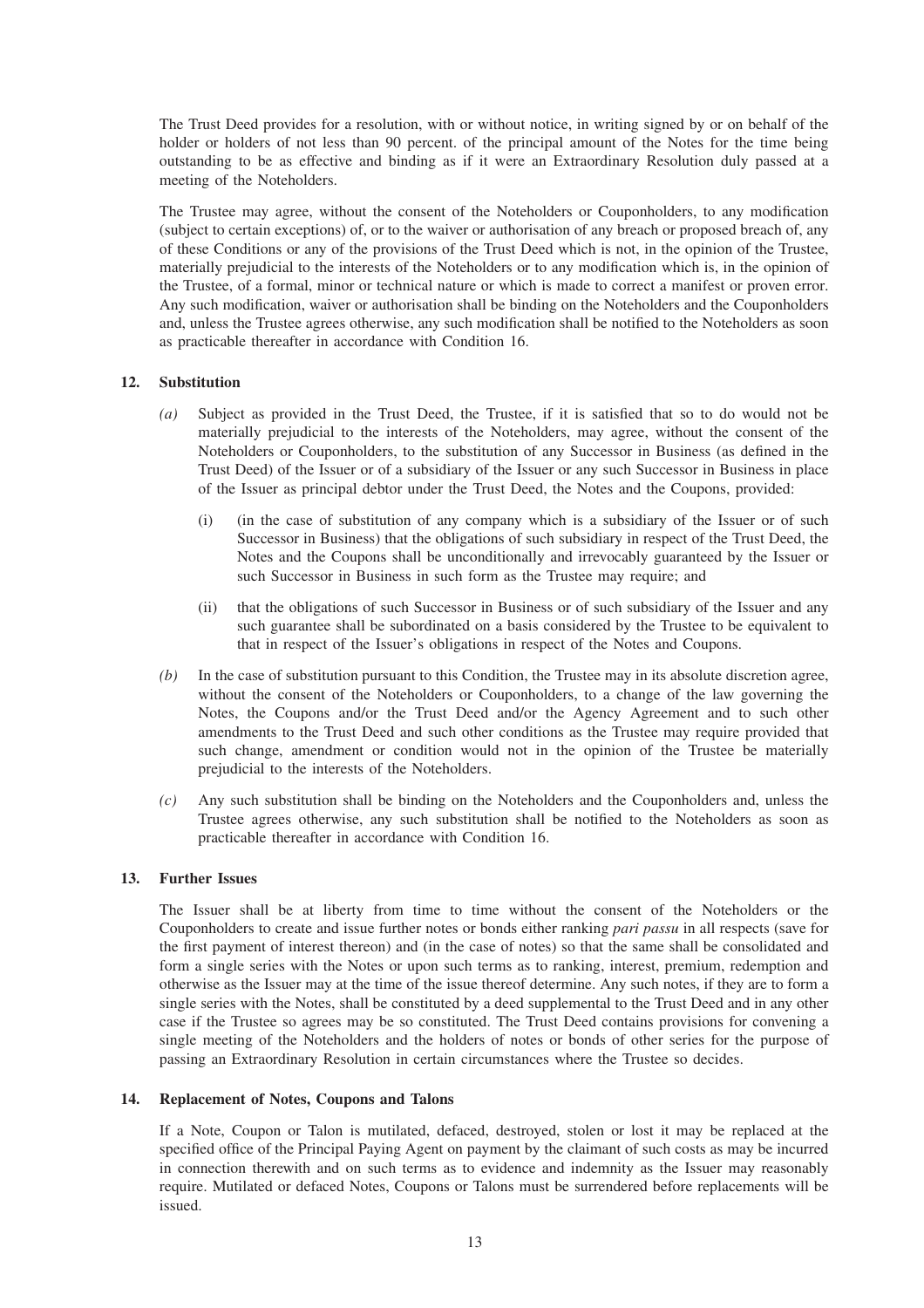The Trust Deed provides for a resolution, with or without notice, in writing signed by or on behalf of the holder or holders of not less than 90 percent. of the principal amount of the Notes for the time being outstanding to be as effective and binding as if it were an Extraordinary Resolution duly passed at a meeting of the Noteholders.

The Trustee may agree, without the consent of the Noteholders or Couponholders, to any modification (subject to certain exceptions) of, or to the waiver or authorisation of any breach or proposed breach of, any of these Conditions or any of the provisions of the Trust Deed which is not, in the opinion of the Trustee, materially prejudicial to the interests of the Noteholders or to any modification which is, in the opinion of the Trustee, of a formal, minor or technical nature or which is made to correct a manifest or proven error. Any such modification, waiver or authorisation shall be binding on the Noteholders and the Couponholders and, unless the Trustee agrees otherwise, any such modification shall be notified to the Noteholders as soon as practicable thereafter in accordance with Condition 16.

# **12. Substitution**

- *(a)* Subject as provided in the Trust Deed, the Trustee, if it is satisfied that so to do would not be materially prejudicial to the interests of the Noteholders, may agree, without the consent of the Noteholders or Couponholders, to the substitution of any Successor in Business (as defined in the Trust Deed) of the Issuer or of a subsidiary of the Issuer or any such Successor in Business in place of the Issuer as principal debtor under the Trust Deed, the Notes and the Coupons, provided:
	- (i) (in the case of substitution of any company which is a subsidiary of the Issuer or of such Successor in Business) that the obligations of such subsidiary in respect of the Trust Deed, the Notes and the Coupons shall be unconditionally and irrevocably guaranteed by the Issuer or such Successor in Business in such form as the Trustee may require; and
	- (ii) that the obligations of such Successor in Business or of such subsidiary of the Issuer and any such guarantee shall be subordinated on a basis considered by the Trustee to be equivalent to that in respect of the Issuer's obligations in respect of the Notes and Coupons.
- *(b)* In the case of substitution pursuant to this Condition, the Trustee may in its absolute discretion agree, without the consent of the Noteholders or Couponholders, to a change of the law governing the Notes, the Coupons and/or the Trust Deed and/or the Agency Agreement and to such other amendments to the Trust Deed and such other conditions as the Trustee may require provided that such change, amendment or condition would not in the opinion of the Trustee be materially prejudicial to the interests of the Noteholders.
- *(c)* Any such substitution shall be binding on the Noteholders and the Couponholders and, unless the Trustee agrees otherwise, any such substitution shall be notified to the Noteholders as soon as practicable thereafter in accordance with Condition 16.

## **13. Further Issues**

The Issuer shall be at liberty from time to time without the consent of the Noteholders or the Couponholders to create and issue further notes or bonds either ranking *pari passu* in all respects (save for the first payment of interest thereon) and (in the case of notes) so that the same shall be consolidated and form a single series with the Notes or upon such terms as to ranking, interest, premium, redemption and otherwise as the Issuer may at the time of the issue thereof determine. Any such notes, if they are to form a single series with the Notes, shall be constituted by a deed supplemental to the Trust Deed and in any other case if the Trustee so agrees may be so constituted. The Trust Deed contains provisions for convening a single meeting of the Noteholders and the holders of notes or bonds of other series for the purpose of passing an Extraordinary Resolution in certain circumstances where the Trustee so decides.

# **14. Replacement of Notes, Coupons and Talons**

If a Note, Coupon or Talon is mutilated, defaced, destroyed, stolen or lost it may be replaced at the specified office of the Principal Paying Agent on payment by the claimant of such costs as may be incurred in connection therewith and on such terms as to evidence and indemnity as the Issuer may reasonably require. Mutilated or defaced Notes, Coupons or Talons must be surrendered before replacements will be issued.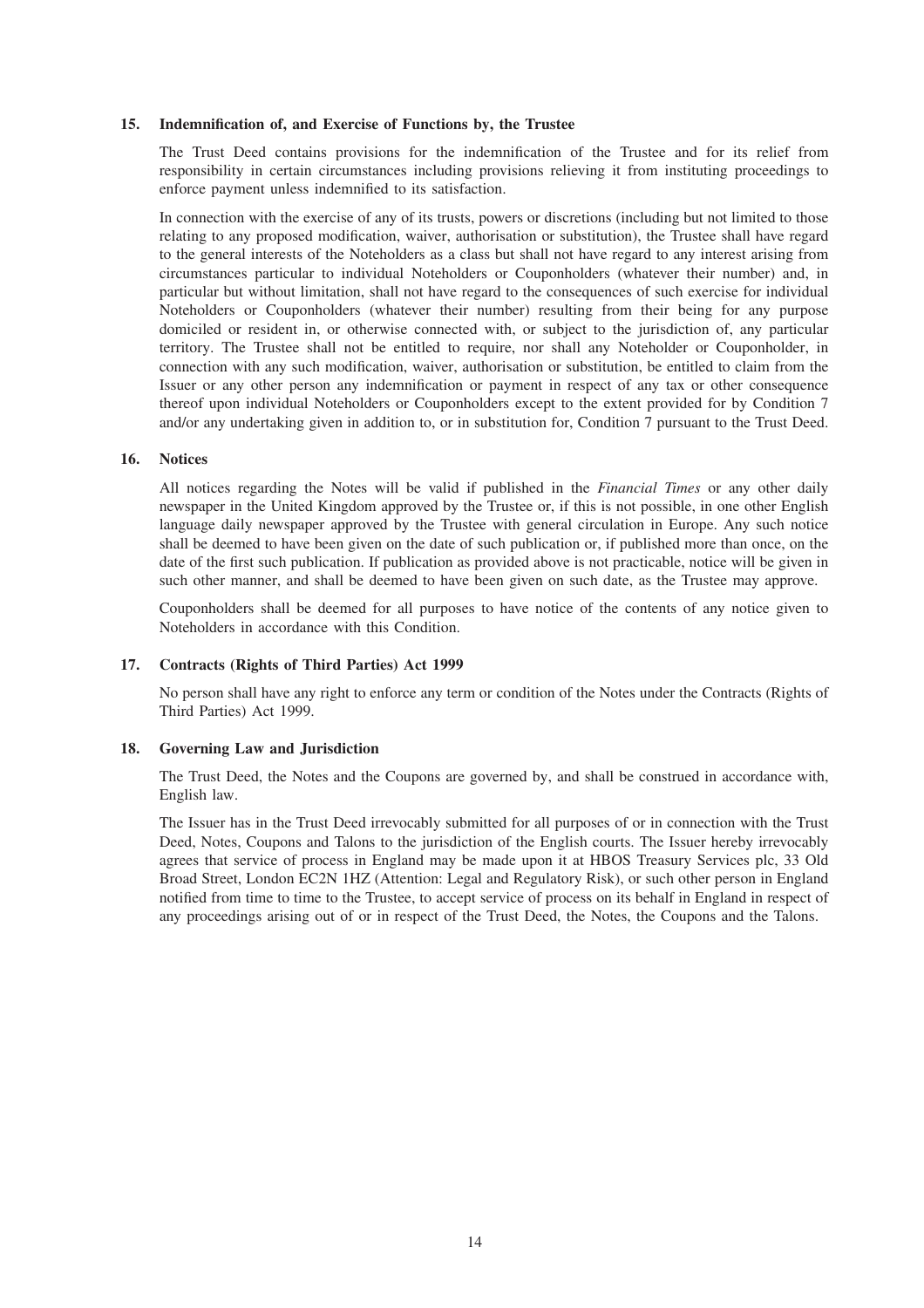#### **15. Indemnification of, and Exercise of Functions by, the Trustee**

The Trust Deed contains provisions for the indemnification of the Trustee and for its relief from responsibility in certain circumstances including provisions relieving it from instituting proceedings to enforce payment unless indemnified to its satisfaction.

In connection with the exercise of any of its trusts, powers or discretions (including but not limited to those relating to any proposed modification, waiver, authorisation or substitution), the Trustee shall have regard to the general interests of the Noteholders as a class but shall not have regard to any interest arising from circumstances particular to individual Noteholders or Couponholders (whatever their number) and, in particular but without limitation, shall not have regard to the consequences of such exercise for individual Noteholders or Couponholders (whatever their number) resulting from their being for any purpose domiciled or resident in, or otherwise connected with, or subject to the jurisdiction of, any particular territory. The Trustee shall not be entitled to require, nor shall any Noteholder or Couponholder, in connection with any such modification, waiver, authorisation or substitution, be entitled to claim from the Issuer or any other person any indemnification or payment in respect of any tax or other consequence thereof upon individual Noteholders or Couponholders except to the extent provided for by Condition 7 and/or any undertaking given in addition to, or in substitution for, Condition 7 pursuant to the Trust Deed.

# **16. Notices**

All notices regarding the Notes will be valid if published in the *Financial Times* or any other daily newspaper in the United Kingdom approved by the Trustee or, if this is not possible, in one other English language daily newspaper approved by the Trustee with general circulation in Europe. Any such notice shall be deemed to have been given on the date of such publication or, if published more than once, on the date of the first such publication. If publication as provided above is not practicable, notice will be given in such other manner, and shall be deemed to have been given on such date, as the Trustee may approve.

Couponholders shall be deemed for all purposes to have notice of the contents of any notice given to Noteholders in accordance with this Condition.

#### **17. Contracts (Rights of Third Parties) Act 1999**

No person shall have any right to enforce any term or condition of the Notes under the Contracts (Rights of Third Parties) Act 1999.

#### **18. Governing Law and Jurisdiction**

The Trust Deed, the Notes and the Coupons are governed by, and shall be construed in accordance with, English law.

The Issuer has in the Trust Deed irrevocably submitted for all purposes of or in connection with the Trust Deed, Notes, Coupons and Talons to the jurisdiction of the English courts. The Issuer hereby irrevocably agrees that service of process in England may be made upon it at HBOS Treasury Services plc, 33 Old Broad Street, London EC2N 1HZ (Attention: Legal and Regulatory Risk), or such other person in England notified from time to time to the Trustee, to accept service of process on its behalf in England in respect of any proceedings arising out of or in respect of the Trust Deed, the Notes, the Coupons and the Talons.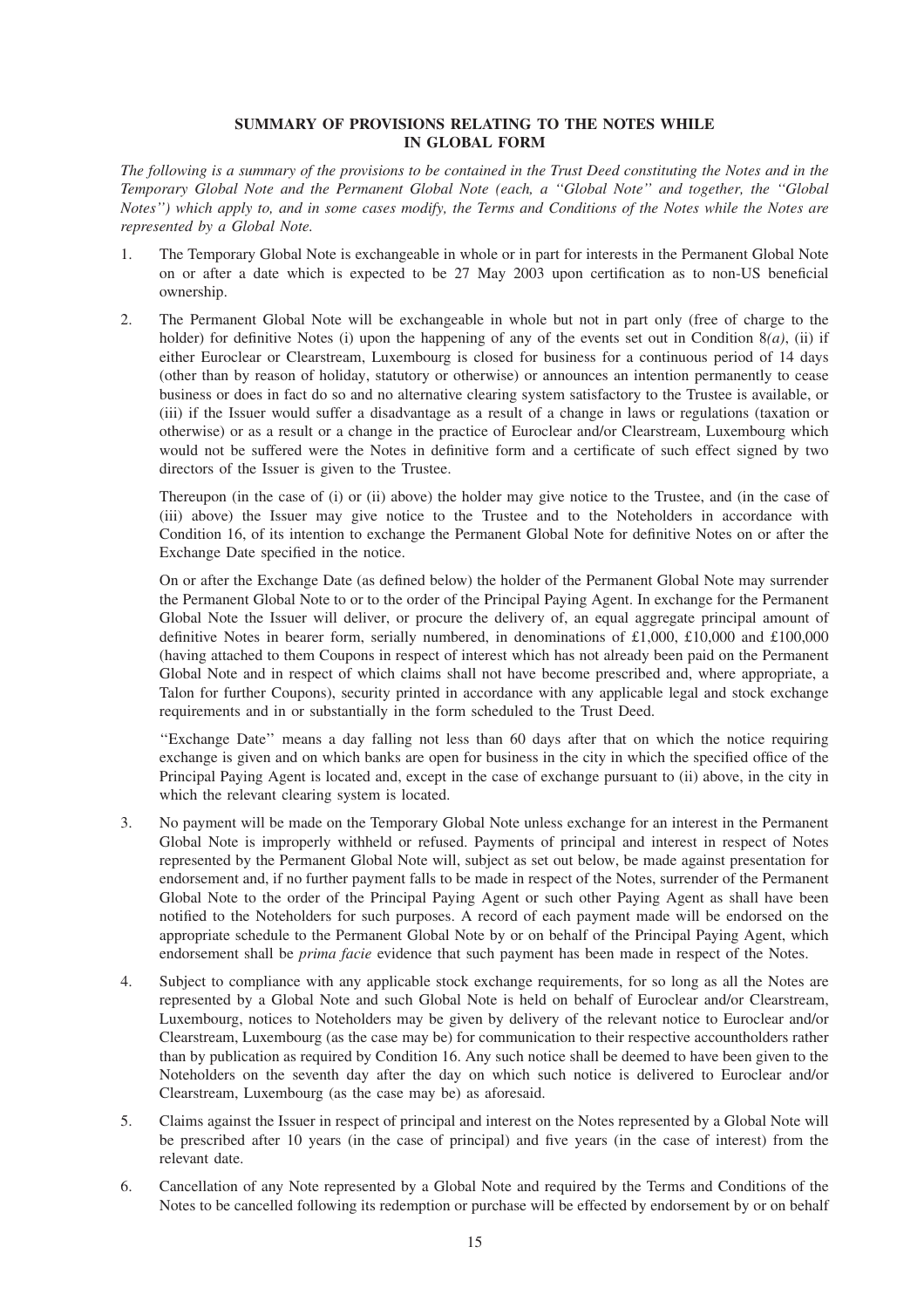# **SUMMARY OF PROVISIONS RELATING TO THE NOTES WHILE IN GLOBAL FORM**

*The following is a summary of the provisions to be contained in the Trust Deed constituting the Notes and in the Temporary Global Note and the Permanent Global Note (each, a ''Global Note'' and together, the ''Global Notes'') which apply to, and in some cases modify, the Terms and Conditions of the Notes while the Notes are represented by a Global Note.*

- 1. The Temporary Global Note is exchangeable in whole or in part for interests in the Permanent Global Note on or after a date which is expected to be 27 May 2003 upon certification as to non-US beneficial ownership.
- 2. The Permanent Global Note will be exchangeable in whole but not in part only (free of charge to the holder) for definitive Notes (i) upon the happening of any of the events set out in Condition 8(*a*), (ii) if either Euroclear or Clearstream, Luxembourg is closed for business for a continuous period of 14 days (other than by reason of holiday, statutory or otherwise) or announces an intention permanently to cease business or does in fact do so and no alternative clearing system satisfactory to the Trustee is available, or (iii) if the Issuer would suffer a disadvantage as a result of a change in laws or regulations (taxation or otherwise) or as a result or a change in the practice of Euroclear and/or Clearstream, Luxembourg which would not be suffered were the Notes in definitive form and a certificate of such effect signed by two directors of the Issuer is given to the Trustee.

Thereupon (in the case of (i) or (ii) above) the holder may give notice to the Trustee, and (in the case of (iii) above) the Issuer may give notice to the Trustee and to the Noteholders in accordance with Condition 16, of its intention to exchange the Permanent Global Note for definitive Notes on or after the Exchange Date specified in the notice.

On or after the Exchange Date (as defined below) the holder of the Permanent Global Note may surrender the Permanent Global Note to or to the order of the Principal Paying Agent. In exchange for the Permanent Global Note the Issuer will deliver, or procure the delivery of, an equal aggregate principal amount of definitive Notes in bearer form, serially numbered, in denominations of £1,000, £10,000 and £100,000 (having attached to them Coupons in respect of interest which has not already been paid on the Permanent Global Note and in respect of which claims shall not have become prescribed and, where appropriate, a Talon for further Coupons), security printed in accordance with any applicable legal and stock exchange requirements and in or substantially in the form scheduled to the Trust Deed.

''Exchange Date'' means a day falling not less than 60 days after that on which the notice requiring exchange is given and on which banks are open for business in the city in which the specified office of the Principal Paying Agent is located and, except in the case of exchange pursuant to (ii) above, in the city in which the relevant clearing system is located.

- 3. No payment will be made on the Temporary Global Note unless exchange for an interest in the Permanent Global Note is improperly withheld or refused. Payments of principal and interest in respect of Notes represented by the Permanent Global Note will, subject as set out below, be made against presentation for endorsement and, if no further payment falls to be made in respect of the Notes, surrender of the Permanent Global Note to the order of the Principal Paying Agent or such other Paying Agent as shall have been notified to the Noteholders for such purposes. A record of each payment made will be endorsed on the appropriate schedule to the Permanent Global Note by or on behalf of the Principal Paying Agent, which endorsement shall be *prima facie* evidence that such payment has been made in respect of the Notes.
- 4. Subject to compliance with any applicable stock exchange requirements, for so long as all the Notes are represented by a Global Note and such Global Note is held on behalf of Euroclear and/or Clearstream, Luxembourg, notices to Noteholders may be given by delivery of the relevant notice to Euroclear and/or Clearstream, Luxembourg (as the case may be) for communication to their respective accountholders rather than by publication as required by Condition 16. Any such notice shall be deemed to have been given to the Noteholders on the seventh day after the day on which such notice is delivered to Euroclear and/or Clearstream, Luxembourg (as the case may be) as aforesaid.
- 5. Claims against the Issuer in respect of principal and interest on the Notes represented by a Global Note will be prescribed after 10 years (in the case of principal) and five years (in the case of interest) from the relevant date.
- 6. Cancellation of any Note represented by a Global Note and required by the Terms and Conditions of the Notes to be cancelled following its redemption or purchase will be effected by endorsement by or on behalf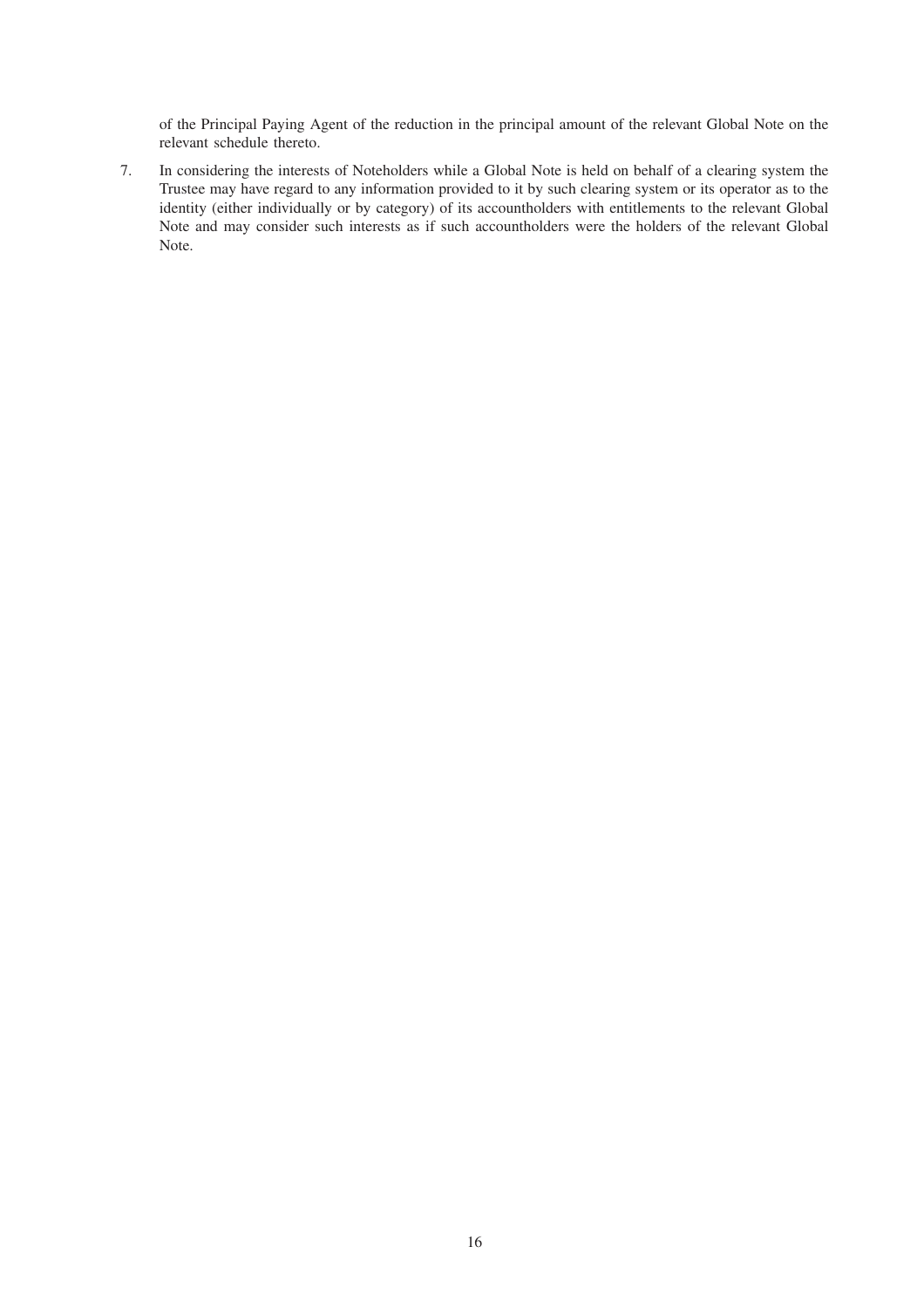of the Principal Paying Agent of the reduction in the principal amount of the relevant Global Note on the relevant schedule thereto.

7. In considering the interests of Noteholders while a Global Note is held on behalf of a clearing system the Trustee may have regard to any information provided to it by such clearing system or its operator as to the identity (either individually or by category) of its accountholders with entitlements to the relevant Global Note and may consider such interests as if such accountholders were the holders of the relevant Global Note.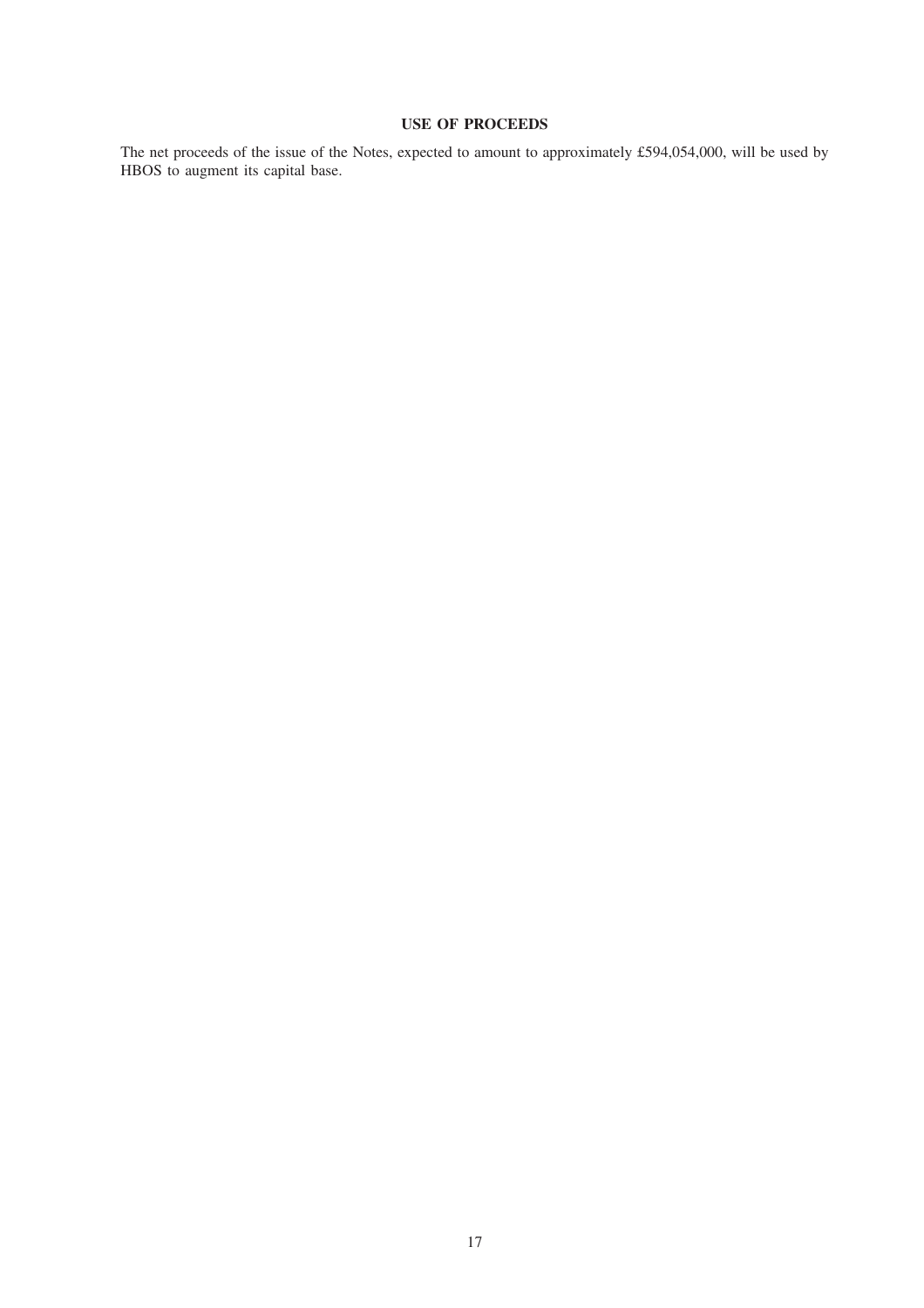# **USE OF PROCEEDS**

The net proceeds of the issue of the Notes, expected to amount to approximately £594,054,000, will be used by HBOS to augment its capital base.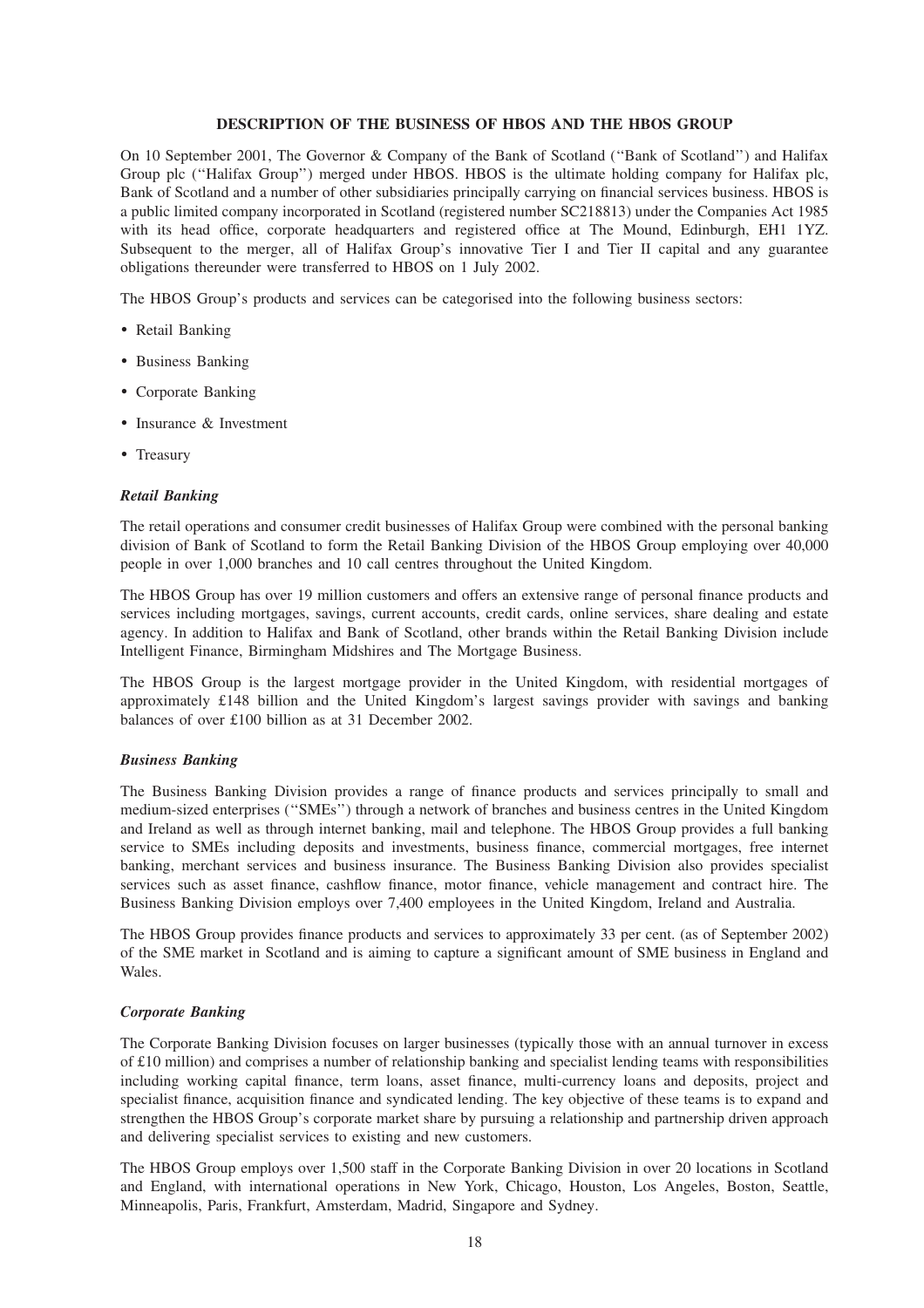# **DESCRIPTION OF THE BUSINESS OF HBOS AND THE HBOS GROUP**

On 10 September 2001, The Governor & Company of the Bank of Scotland (''Bank of Scotland'') and Halifax Group plc (''Halifax Group'') merged under HBOS. HBOS is the ultimate holding company for Halifax plc, Bank of Scotland and a number of other subsidiaries principally carrying on financial services business. HBOS is a public limited company incorporated in Scotland (registered number SC218813) under the Companies Act 1985 with its head office, corporate headquarters and registered office at The Mound, Edinburgh, EH1 1YZ. Subsequent to the merger, all of Halifax Group's innovative Tier I and Tier II capital and any guarantee obligations thereunder were transferred to HBOS on 1 July 2002.

The HBOS Group's products and services can be categorised into the following business sectors:

- ) Retail Banking
- ) Business Banking
- ) Corporate Banking
- Insurance & Investment
- Treasury

#### *Retail Banking*

The retail operations and consumer credit businesses of Halifax Group were combined with the personal banking division of Bank of Scotland to form the Retail Banking Division of the HBOS Group employing over 40,000 people in over 1,000 branches and 10 call centres throughout the United Kingdom.

The HBOS Group has over 19 million customers and offers an extensive range of personal finance products and services including mortgages, savings, current accounts, credit cards, online services, share dealing and estate agency. In addition to Halifax and Bank of Scotland, other brands within the Retail Banking Division include Intelligent Finance, Birmingham Midshires and The Mortgage Business.

The HBOS Group is the largest mortgage provider in the United Kingdom, with residential mortgages of approximately £148 billion and the United Kingdom's largest savings provider with savings and banking balances of over £100 billion as at 31 December 2002.

#### *Business Banking*

The Business Banking Division provides a range of finance products and services principally to small and medium-sized enterprises (''SMEs'') through a network of branches and business centres in the United Kingdom and Ireland as well as through internet banking, mail and telephone. The HBOS Group provides a full banking service to SMEs including deposits and investments, business finance, commercial mortgages, free internet banking, merchant services and business insurance. The Business Banking Division also provides specialist services such as asset finance, cashflow finance, motor finance, vehicle management and contract hire. The Business Banking Division employs over 7,400 employees in the United Kingdom, Ireland and Australia.

The HBOS Group provides finance products and services to approximately 33 per cent. (as of September 2002) of the SME market in Scotland and is aiming to capture a significant amount of SME business in England and Wales.

# *Corporate Banking*

The Corporate Banking Division focuses on larger businesses (typically those with an annual turnover in excess of £10 million) and comprises a number of relationship banking and specialist lending teams with responsibilities including working capital finance, term loans, asset finance, multi-currency loans and deposits, project and specialist finance, acquisition finance and syndicated lending. The key objective of these teams is to expand and strengthen the HBOS Group's corporate market share by pursuing a relationship and partnership driven approach and delivering specialist services to existing and new customers.

The HBOS Group employs over 1,500 staff in the Corporate Banking Division in over 20 locations in Scotland and England, with international operations in New York, Chicago, Houston, Los Angeles, Boston, Seattle, Minneapolis, Paris, Frankfurt, Amsterdam, Madrid, Singapore and Sydney.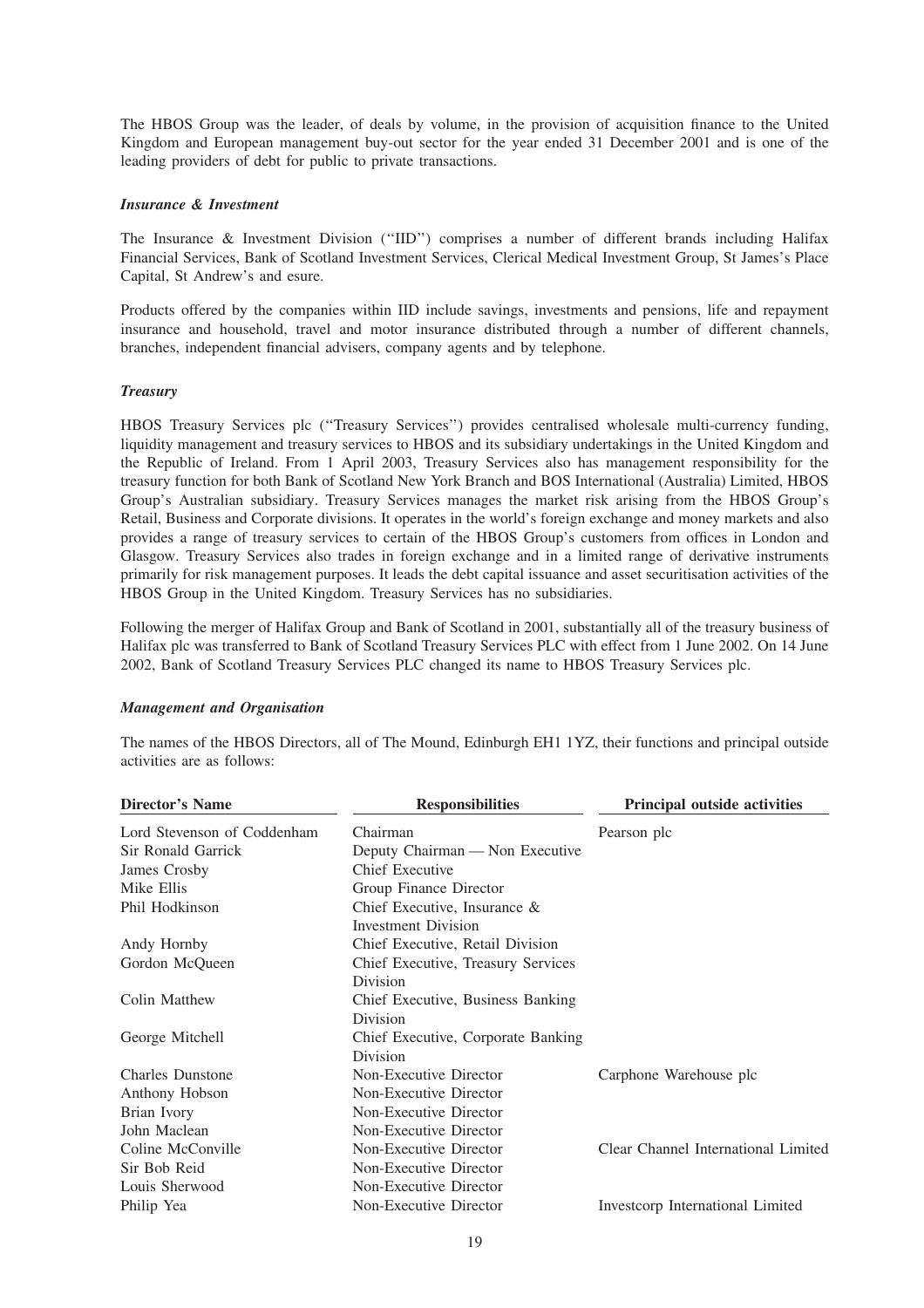The HBOS Group was the leader, of deals by volume, in the provision of acquisition finance to the United Kingdom and European management buy-out sector for the year ended 31 December 2001 and is one of the leading providers of debt for public to private transactions.

### *Insurance & Investment*

The Insurance & Investment Division (''IID'') comprises a number of different brands including Halifax Financial Services, Bank of Scotland Investment Services, Clerical Medical Investment Group, St James's Place Capital, St Andrew's and esure.

Products offered by the companies within IID include savings, investments and pensions, life and repayment insurance and household, travel and motor insurance distributed through a number of different channels, branches, independent financial advisers, company agents and by telephone.

# *Treasury*

HBOS Treasury Services plc (''Treasury Services'') provides centralised wholesale multi-currency funding, liquidity management and treasury services to HBOS and its subsidiary undertakings in the United Kingdom and the Republic of Ireland. From 1 April 2003, Treasury Services also has management responsibility for the treasury function for both Bank of Scotland New York Branch and BOS International (Australia) Limited, HBOS Group's Australian subsidiary. Treasury Services manages the market risk arising from the HBOS Group's Retail, Business and Corporate divisions. It operates in the world's foreign exchange and money markets and also provides a range of treasury services to certain of the HBOS Group's customers from offices in London and Glasgow. Treasury Services also trades in foreign exchange and in a limited range of derivative instruments primarily for risk management purposes. It leads the debt capital issuance and asset securitisation activities of the HBOS Group in the United Kingdom. Treasury Services has no subsidiaries.

Following the merger of Halifax Group and Bank of Scotland in 2001, substantially all of the treasury business of Halifax plc was transferred to Bank of Scotland Treasury Services PLC with effect from 1 June 2002. On 14 June 2002, Bank of Scotland Treasury Services PLC changed its name to HBOS Treasury Services plc.

# *Management and Organisation*

| <b>Director's Name</b><br><b>Responsibilities</b>     | <b>Principal outside activities</b> |
|-------------------------------------------------------|-------------------------------------|
| Lord Stevenson of Coddenham<br>Chairman               | Pearson plc                         |
| Sir Ronald Garrick<br>Deputy Chairman - Non Executive |                                     |
| James Crosby<br>Chief Executive                       |                                     |
| Mike Ellis<br>Group Finance Director                  |                                     |
| Phil Hodkinson<br>Chief Executive, Insurance $\&$     |                                     |
| <b>Investment Division</b>                            |                                     |
| Andy Hornby<br>Chief Executive, Retail Division       |                                     |
| Gordon McQueen<br>Chief Executive, Treasury Services  |                                     |
| Division                                              |                                     |
| Colin Matthew<br>Chief Executive, Business Banking    |                                     |
| Division                                              |                                     |
| George Mitchell<br>Chief Executive, Corporate Banking |                                     |
| Division                                              |                                     |
| <b>Charles Dunstone</b><br>Non-Executive Director     | Carphone Warehouse plc              |
| Non-Executive Director<br>Anthony Hobson              |                                     |
| Brian Ivory<br>Non-Executive Director                 |                                     |
| John Maclean<br>Non-Executive Director                |                                     |
| Coline McConville<br>Non-Executive Director           | Clear Channel International Limited |
| Sir Bob Reid<br>Non-Executive Director                |                                     |
| Louis Sherwood<br>Non-Executive Director              |                                     |
| Non-Executive Director<br>Philip Yea                  | Investcorp International Limited    |

The names of the HBOS Directors, all of The Mound, Edinburgh EH1 1YZ, their functions and principal outside activities are as follows: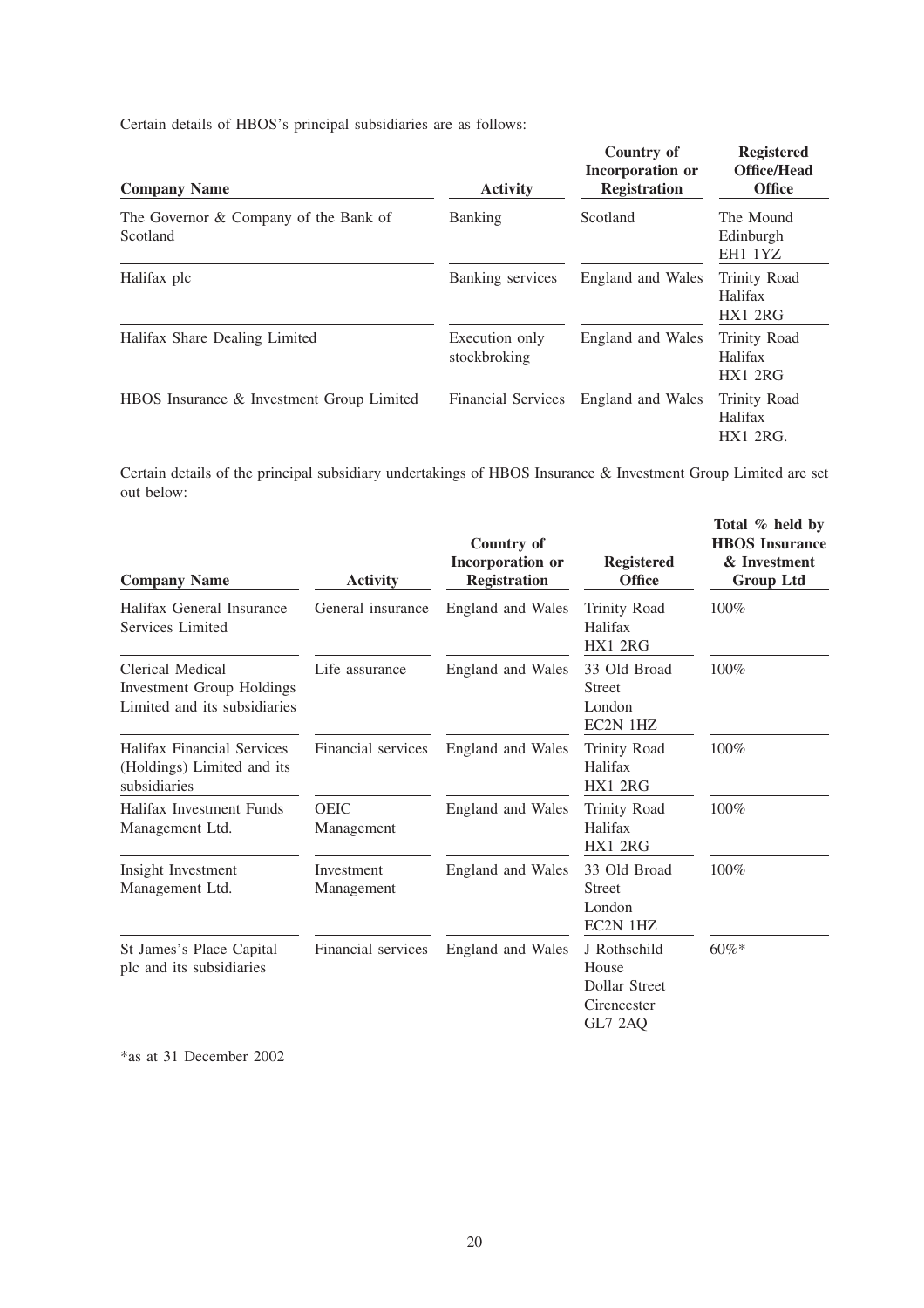Certain details of HBOS's principal subsidiaries are as follows:

| <b>Company Name</b>                               | <b>Activity</b>                | Country of<br>Incorporation or<br><b>Registration</b> | <b>Registered</b><br><b>Office/Head</b><br><b>Office</b> |
|---------------------------------------------------|--------------------------------|-------------------------------------------------------|----------------------------------------------------------|
| The Governor & Company of the Bank of<br>Scotland | <b>Banking</b>                 | Scotland                                              | The Mound<br>Edinburgh<br>EH1 1YZ                        |
| Halifax plc                                       | Banking services               | England and Wales                                     | Trinity Road<br>Halifax<br>HX1 2RG                       |
| Halifax Share Dealing Limited                     | Execution only<br>stockbroking | England and Wales                                     | <b>Trinity Road</b><br>Halifax<br>HX1 2RG                |
| HBOS Insurance & Investment Group Limited         | <b>Financial Services</b>      | England and Wales                                     | Trinity Road<br>Halifax<br>$HX1$ 2RG.                    |

Certain details of the principal subsidiary undertakings of HBOS Insurance & Investment Group Limited are set out below:

| <b>Company Name</b>                                                                  | <b>Activity</b>           | Country of<br>Incorporation or<br><b>Registration</b> | <b>Registered</b><br><b>Office</b>                               | Total % held by<br><b>HBOS</b> Insurance<br>& Investment<br><b>Group Ltd</b> |
|--------------------------------------------------------------------------------------|---------------------------|-------------------------------------------------------|------------------------------------------------------------------|------------------------------------------------------------------------------|
| Halifax General Insurance<br>Services Limited                                        | General insurance         | England and Wales                                     | <b>Trinity Road</b><br>Halifax<br>HX1 2RG                        | 100%                                                                         |
| Clerical Medical<br><b>Investment Group Holdings</b><br>Limited and its subsidiaries | Life assurance            | England and Wales                                     | 33 Old Broad<br><b>Street</b><br>London<br>EC2N 1HZ              | 100%                                                                         |
| <b>Halifax Financial Services</b><br>(Holdings) Limited and its<br>subsidiaries      | Financial services        | England and Wales                                     | <b>Trinity Road</b><br>Halifax<br>HX1 2RG                        | 100%                                                                         |
| Halifax Investment Funds<br>Management Ltd.                                          | <b>OEIC</b><br>Management | England and Wales                                     | <b>Trinity Road</b><br>Halifax<br>HX1 2RG                        | 100%                                                                         |
| Insight Investment<br>Management Ltd.                                                | Investment<br>Management  | England and Wales                                     | 33 Old Broad<br><b>Street</b><br>London<br>EC2N 1HZ              | 100%                                                                         |
| St James's Place Capital<br>plc and its subsidiaries                                 | Financial services        | England and Wales                                     | J Rothschild<br>House<br>Dollar Street<br>Cirencester<br>GL7 2AQ | $60\%*$                                                                      |

\*as at 31 December 2002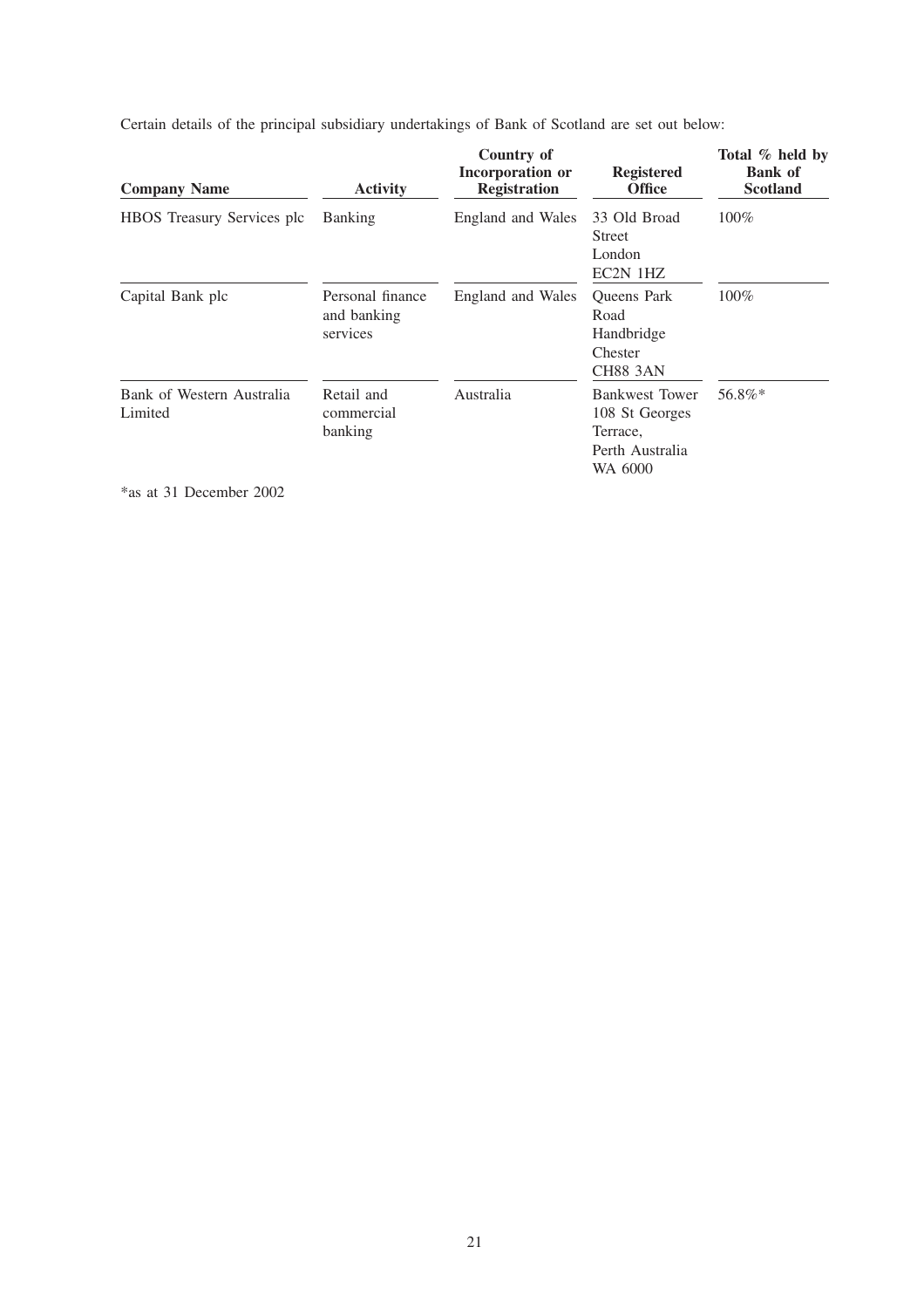| <b>Company Name</b>                  | <b>Activity</b>                             | Country of<br>Incorporation or<br><b>Registration</b> | <b>Registered</b><br><b>Office</b>                                     | Total % held by<br><b>Bank</b> of<br><b>Scotland</b> |
|--------------------------------------|---------------------------------------------|-------------------------------------------------------|------------------------------------------------------------------------|------------------------------------------------------|
| <b>HBOS</b> Treasury Services plc    | <b>Banking</b>                              | England and Wales                                     | 33 Old Broad<br><b>Street</b><br>London<br>EC2N 1HZ                    | 100%                                                 |
| Capital Bank plc                     | Personal finance<br>and banking<br>services | England and Wales                                     | <b>Oueens</b> Park<br>Road<br>Handbridge<br>Chester<br><b>CH88 3AN</b> | 100%                                                 |
| Bank of Western Australia<br>Limited | Retail and<br>commercial<br>banking         | Australia                                             | <b>Bankwest Tower</b><br>108 St Georges<br>Terrace,<br>Perth Australia | 56.8%*                                               |

WA 6000

Certain details of the principal subsidiary undertakings of Bank of Scotland are set out below:

\*as at 31 December 2002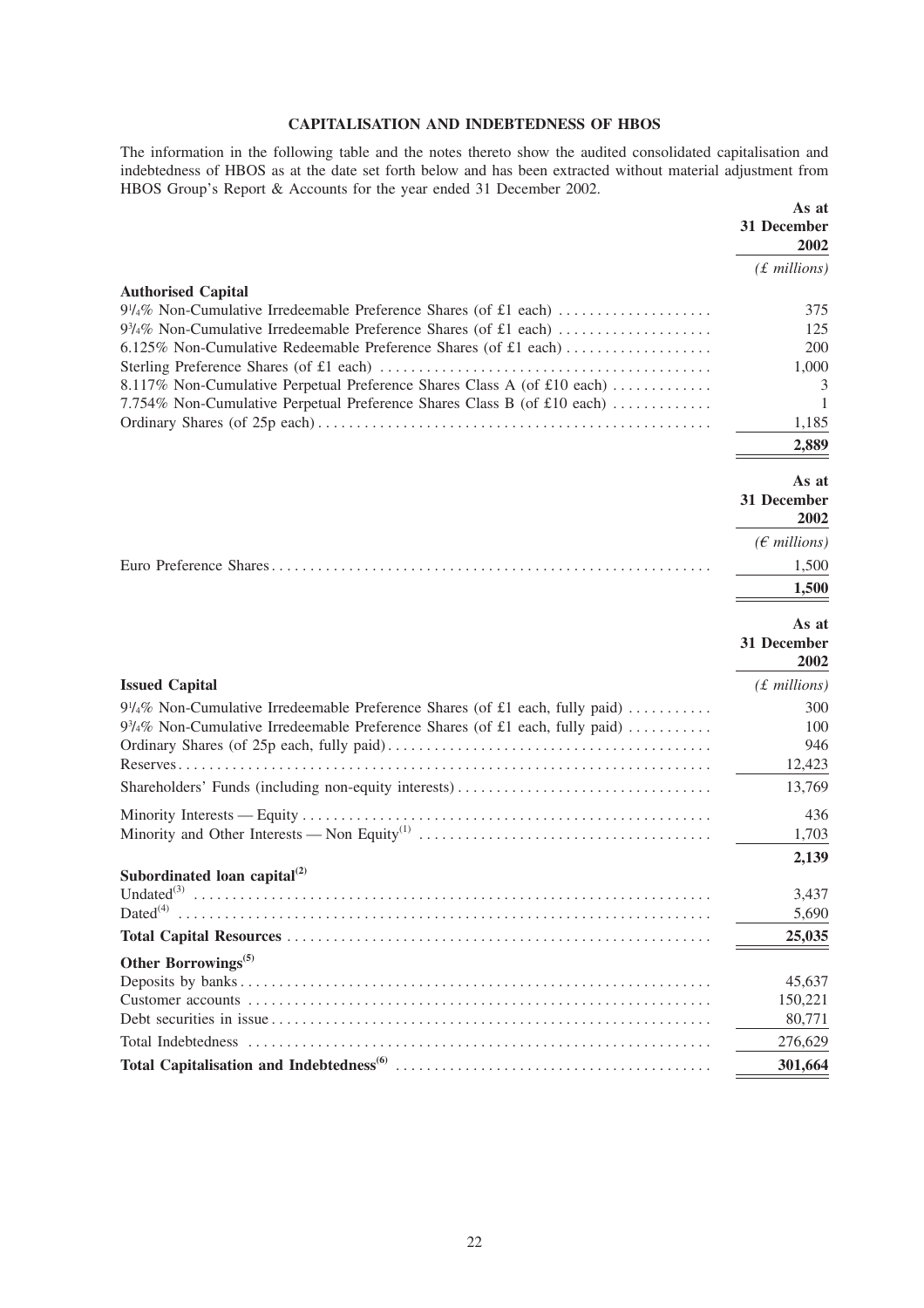# **CAPITALISATION AND INDEBTEDNESS OF HBOS**

The information in the following table and the notes thereto show the audited consolidated capitalisation and indebtedness of HBOS as at the date set forth below and has been extracted without material adjustment from HBOS Group's Report & Accounts for the year ended 31 December 2002.

|                                                                                                                                                                                                                                                    | As at<br>31 December<br>2002                  |
|----------------------------------------------------------------------------------------------------------------------------------------------------------------------------------------------------------------------------------------------------|-----------------------------------------------|
|                                                                                                                                                                                                                                                    | $(f.$ millions)                               |
| <b>Authorised Capital</b><br>6.125% Non-Cumulative Redeemable Preference Shares (of £1 each)<br>8.117% Non-Cumulative Perpetual Preference Shares Class A (of £10 each)<br>7.754% Non-Cumulative Perpetual Preference Shares Class B (of £10 each) | 375<br>125<br>200<br>1,000<br>3<br>1<br>1,185 |
|                                                                                                                                                                                                                                                    | 2,889                                         |
|                                                                                                                                                                                                                                                    | As at<br>31 December<br>2002                  |
|                                                                                                                                                                                                                                                    | $(E \text{ millions})$                        |
|                                                                                                                                                                                                                                                    | 1,500                                         |
|                                                                                                                                                                                                                                                    | 1,500                                         |
|                                                                                                                                                                                                                                                    | As at<br>31 December<br>2002                  |
| <b>Issued Capital</b>                                                                                                                                                                                                                              | $(f$ millions)                                |
| $9\frac{1}{4}\%$ Non-Cumulative Irredeemable Preference Shares (of £1 each, fully paid)<br>$9\frac{3}{4}\%$ Non-Cumulative Irredeemable Preference Shares (of £1 each, fully paid)                                                                 | 300<br>100<br>946<br>12,423<br>13,769         |
|                                                                                                                                                                                                                                                    | 436                                           |
|                                                                                                                                                                                                                                                    | 1,703                                         |
|                                                                                                                                                                                                                                                    | 2,139                                         |
| Subordinated loan capital $^{(2)}$<br>Undated $^{(3)}$<br>$Dated^{(4)}$                                                                                                                                                                            | 3,437<br>5,690                                |
|                                                                                                                                                                                                                                                    | 25,035                                        |
| Other Borrowings <sup>(5)</sup>                                                                                                                                                                                                                    | 45,637<br>150,221<br>80,771                   |
|                                                                                                                                                                                                                                                    | 276,629                                       |
|                                                                                                                                                                                                                                                    | 301,664                                       |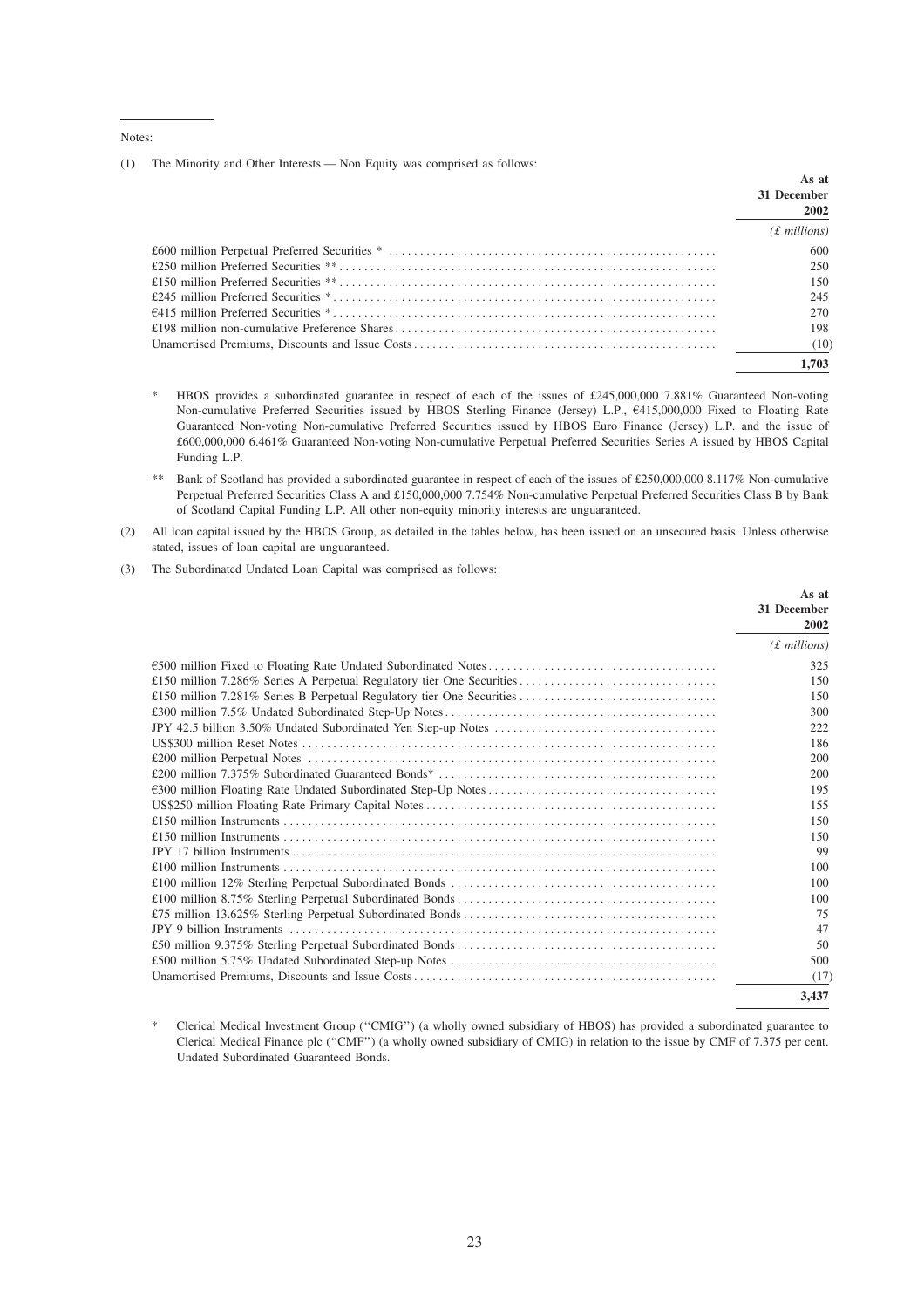Notes:

(1) The Minority and Other Interests — Non Equity was comprised as follows:

| As at<br>31 December<br>2002 |
|------------------------------|
| $(f.$ millions)              |
| 600                          |
| 250                          |
| 150.                         |
| 245                          |
| 270                          |
| 198                          |
| (10)                         |
| 1.703                        |

HBOS provides a subordinated guarantee in respect of each of the issues of £245,000,000 7.881% Guaranteed Non-voting Non-cumulative Preferred Securities issued by HBOS Sterling Finance (Jersey) L.P., €415,000,000 Fixed to Floating Rate Guaranteed Non-voting Non-cumulative Preferred Securities issued by HBOS Euro Finance (Jersey) L.P. and the issue of £600,000,000 6.461% Guaranteed Non-voting Non-cumulative Perpetual Preferred Securities Series A issued by HBOS Capital Funding L.P.

 $\gg$ Bank of Scotland has provided a subordinated guarantee in respect of each of the issues of £250,000,000 8.117% Non-cumulative Perpetual Preferred Securities Class A and £150,000,000 7.754% Non-cumulative Perpetual Preferred Securities Class B by Bank of Scotland Capital Funding L.P. All other non-equity minority interests are unguaranteed.

- (2) All loan capital issued by the HBOS Group, as detailed in the tables below, has been issued on an unsecured basis. Unless otherwise stated, issues of loan capital are unguaranteed.
- The Subordinated Undated Loan Capital was comprised as follows:  $(3)$

|                                                                       | As at<br>31 December<br>2002 |
|-----------------------------------------------------------------------|------------------------------|
|                                                                       | $(f.$ millions)              |
|                                                                       | 325                          |
| £150 million 7.286% Series A Perpetual Regulatory tier One Securities | 150                          |
|                                                                       | 150                          |
|                                                                       | 300                          |
|                                                                       | 222                          |
|                                                                       | 186                          |
|                                                                       | 200                          |
|                                                                       | 200                          |
|                                                                       | 195                          |
|                                                                       | 155                          |
|                                                                       | 150                          |
|                                                                       | 150                          |
|                                                                       | 99                           |
|                                                                       | 100                          |
|                                                                       | 100                          |
|                                                                       | 100                          |
|                                                                       | 75                           |
|                                                                       | 47                           |
|                                                                       | 50                           |
|                                                                       | 500                          |
|                                                                       | (17)                         |
|                                                                       | 3.437                        |

Clerical Medical Investment Group ("CMIG") (a wholly owned subsidiary of HBOS) has provided a subordinated guarantee to Clerical Medical Finance plc ("CMF") (a wholly owned subsidiary of CMIG) in relation to the issue by CMF of 7.375 per cent. Undated Subordinated Guaranteed Bonds.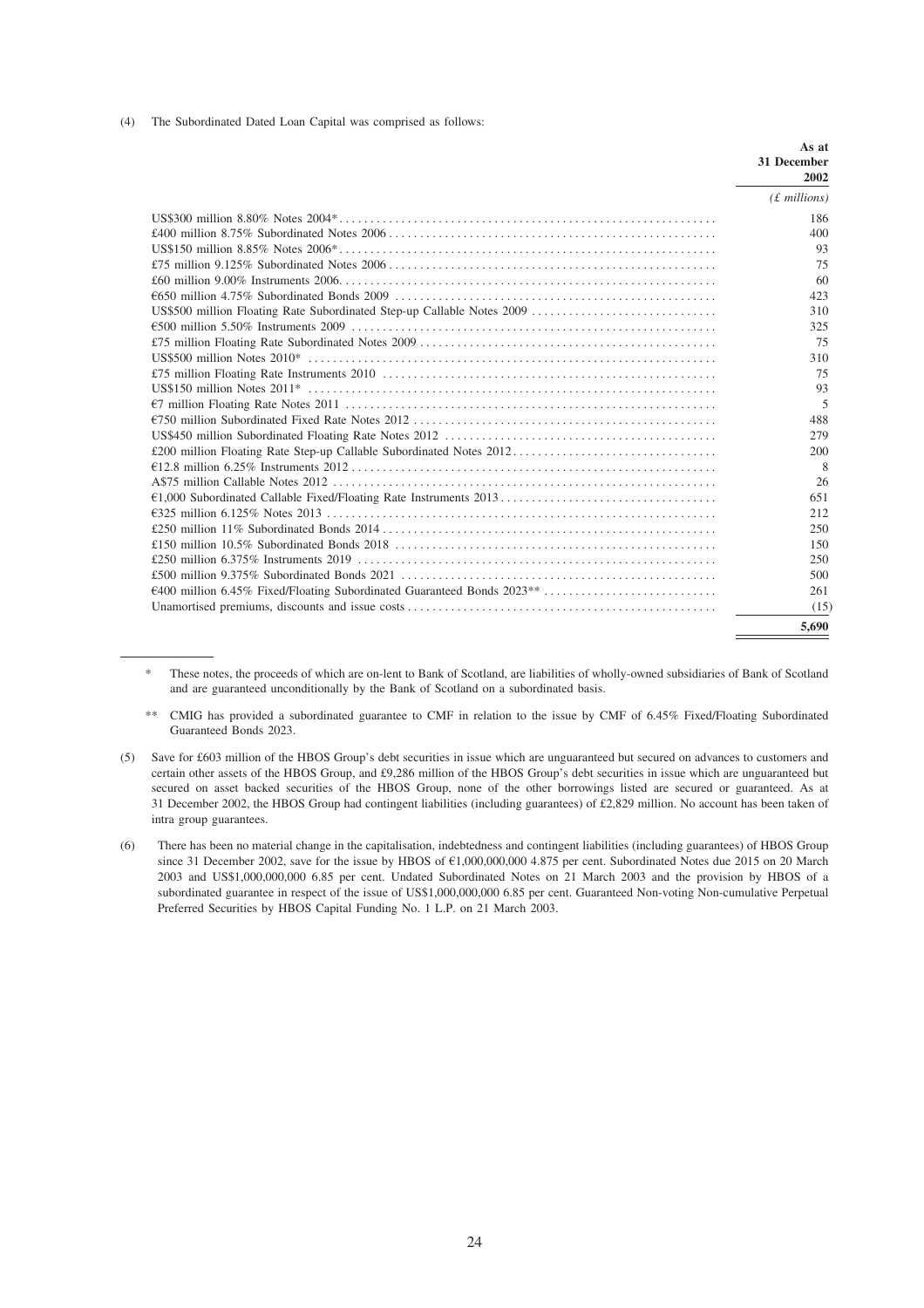(4) The Subordinated Dated Loan Capital was comprised as follows:

|                                                                        | As at               |
|------------------------------------------------------------------------|---------------------|
|                                                                        | 31 December<br>2002 |
|                                                                        | $(f$ millions)      |
|                                                                        | 186                 |
|                                                                        | 400                 |
|                                                                        | 93                  |
|                                                                        | 75                  |
|                                                                        | 60                  |
|                                                                        | 423                 |
| US\$500 million Floating Rate Subordinated Step-up Callable Notes 2009 | 310                 |
|                                                                        | 325                 |
|                                                                        | 75                  |
|                                                                        | 310                 |
|                                                                        | 75                  |
|                                                                        | 93                  |
|                                                                        | 5                   |
|                                                                        | 488                 |
|                                                                        | 279                 |
|                                                                        | 200                 |
|                                                                        | 8                   |
|                                                                        | 26                  |
|                                                                        | 651                 |
|                                                                        | 212                 |
|                                                                        | 250                 |
|                                                                        | 150                 |
|                                                                        | 250                 |
|                                                                        | 500                 |
|                                                                        | 261                 |
|                                                                        | (15)                |
|                                                                        | 5.690               |

- These notes, the proceeds of which are on-lent to Bank of Scotland, are liabilities of wholly-owned subsidiaries of Bank of Scotland and are guaranteed unconditionally by the Bank of Scotland on a subordinated basis.
- CMIG has provided a subordinated guarantee to CMF in relation to the issue by CMF of 6.45% Fixed/Floating Subordinated Guaranteed Bonds 2023.
- (5) Save for £603 million of the HBOS Group's debt securities in issue which are unguaranteed but secured on advances to customers and certain other assets of the HBOS Group, and £9,286 million of the HBOS Group's debt securities in issue which are unguaranteed but secured on asset backed securities of the HBOS Group, none of the other borrowings listed are secured or guaranteed. As at 31 December 2002, the HBOS Group had contingent liabilities (including guarantees) of £2,829 million. No account has been taken of intra group guarantees.
- There has been no material change in the capitalisation, indebtedness and contingent liabilities (including guarantees) of HBOS Group  $(6)$ since 31 December 2002, save for the issue by HBOS of €1,000,000,000 4.875 per cent. Subordinated Notes due 2015 on 20 March 2003 and US\$1,000,000,000 6.85 per cent. Undated Subordinated Notes on 21 March 2003 and the provision by HBOS of a subordinated guarantee in respect of the issue of US\$1,000,000,000 6.85 per cent. Guaranteed Non-voting Non-cumulative Perpetual Preferred Securities by HBOS Capital Funding No. 1 L.P. on 21 March 2003.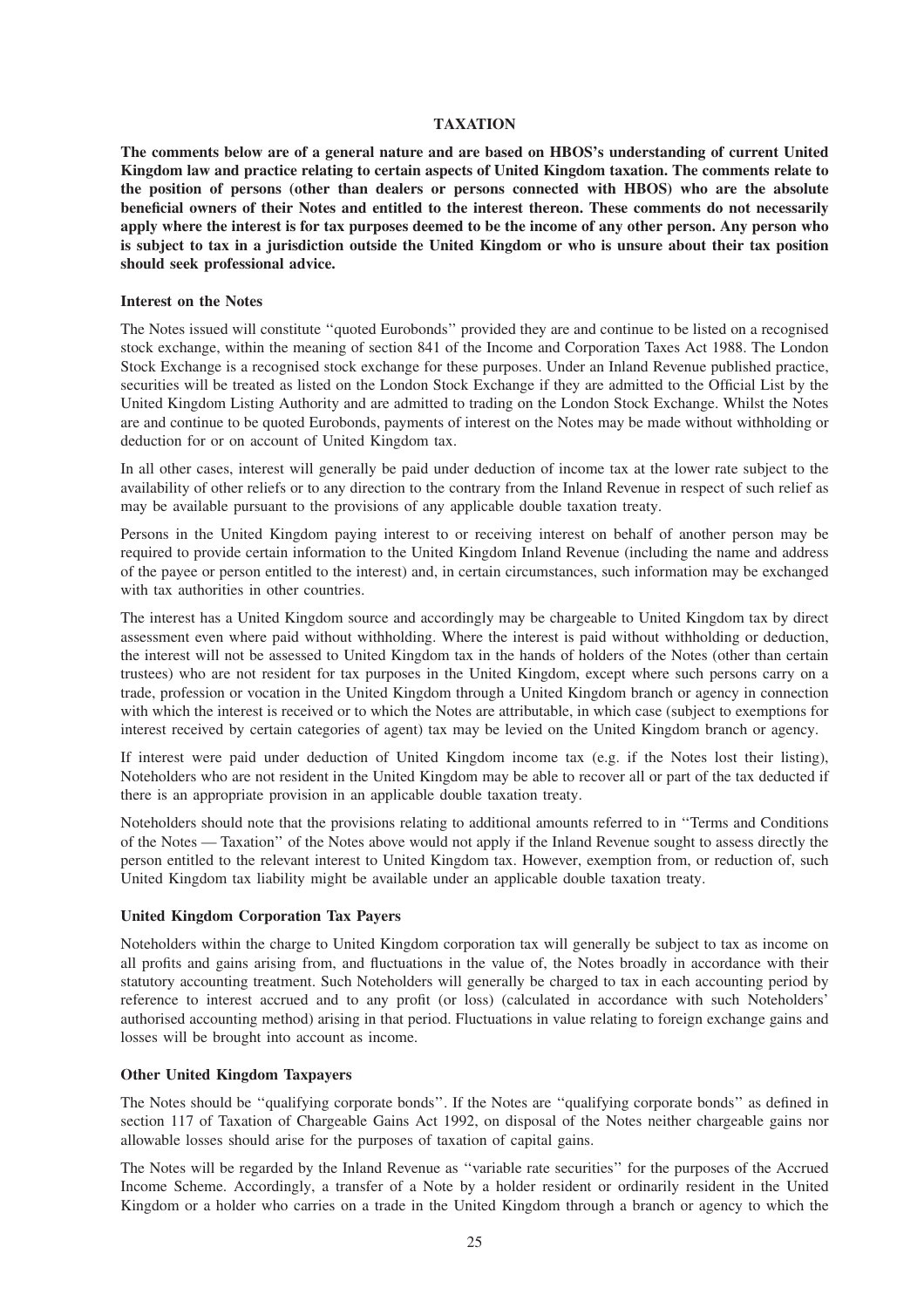#### **TAXATION**

**The comments below are of a general nature and are based on HBOS's understanding of current United Kingdom law and practice relating to certain aspects of United Kingdom taxation. The comments relate to the position of persons (other than dealers or persons connected with HBOS) who are the absolute beneficial owners of their Notes and entitled to the interest thereon. These comments do not necessarily apply where the interest is for tax purposes deemed to be the income of any other person. Any person who is subject to tax in a jurisdiction outside the United Kingdom or who is unsure about their tax position should seek professional advice.**

#### **Interest on the Notes**

The Notes issued will constitute ''quoted Eurobonds'' provided they are and continue to be listed on a recognised stock exchange, within the meaning of section 841 of the Income and Corporation Taxes Act 1988. The London Stock Exchange is a recognised stock exchange for these purposes. Under an Inland Revenue published practice, securities will be treated as listed on the London Stock Exchange if they are admitted to the Official List by the United Kingdom Listing Authority and are admitted to trading on the London Stock Exchange. Whilst the Notes are and continue to be quoted Eurobonds, payments of interest on the Notes may be made without withholding or deduction for or on account of United Kingdom tax.

In all other cases, interest will generally be paid under deduction of income tax at the lower rate subject to the availability of other reliefs or to any direction to the contrary from the Inland Revenue in respect of such relief as may be available pursuant to the provisions of any applicable double taxation treaty.

Persons in the United Kingdom paying interest to or receiving interest on behalf of another person may be required to provide certain information to the United Kingdom Inland Revenue (including the name and address of the payee or person entitled to the interest) and, in certain circumstances, such information may be exchanged with tax authorities in other countries.

The interest has a United Kingdom source and accordingly may be chargeable to United Kingdom tax by direct assessment even where paid without withholding. Where the interest is paid without withholding or deduction, the interest will not be assessed to United Kingdom tax in the hands of holders of the Notes (other than certain trustees) who are not resident for tax purposes in the United Kingdom, except where such persons carry on a trade, profession or vocation in the United Kingdom through a United Kingdom branch or agency in connection with which the interest is received or to which the Notes are attributable, in which case (subject to exemptions for interest received by certain categories of agent) tax may be levied on the United Kingdom branch or agency.

If interest were paid under deduction of United Kingdom income tax (e.g. if the Notes lost their listing), Noteholders who are not resident in the United Kingdom may be able to recover all or part of the tax deducted if there is an appropriate provision in an applicable double taxation treaty.

Noteholders should note that the provisions relating to additional amounts referred to in ''Terms and Conditions of the Notes — Taxation'' of the Notes above would not apply if the Inland Revenue sought to assess directly the person entitled to the relevant interest to United Kingdom tax. However, exemption from, or reduction of, such United Kingdom tax liability might be available under an applicable double taxation treaty.

#### **United Kingdom Corporation Tax Payers**

Noteholders within the charge to United Kingdom corporation tax will generally be subject to tax as income on all profits and gains arising from, and fluctuations in the value of, the Notes broadly in accordance with their statutory accounting treatment. Such Noteholders will generally be charged to tax in each accounting period by reference to interest accrued and to any profit (or loss) (calculated in accordance with such Noteholders' authorised accounting method) arising in that period. Fluctuations in value relating to foreign exchange gains and losses will be brought into account as income.

#### **Other United Kingdom Taxpayers**

The Notes should be ''qualifying corporate bonds''. If the Notes are ''qualifying corporate bonds'' as defined in section 117 of Taxation of Chargeable Gains Act 1992, on disposal of the Notes neither chargeable gains nor allowable losses should arise for the purposes of taxation of capital gains.

The Notes will be regarded by the Inland Revenue as ''variable rate securities'' for the purposes of the Accrued Income Scheme. Accordingly, a transfer of a Note by a holder resident or ordinarily resident in the United Kingdom or a holder who carries on a trade in the United Kingdom through a branch or agency to which the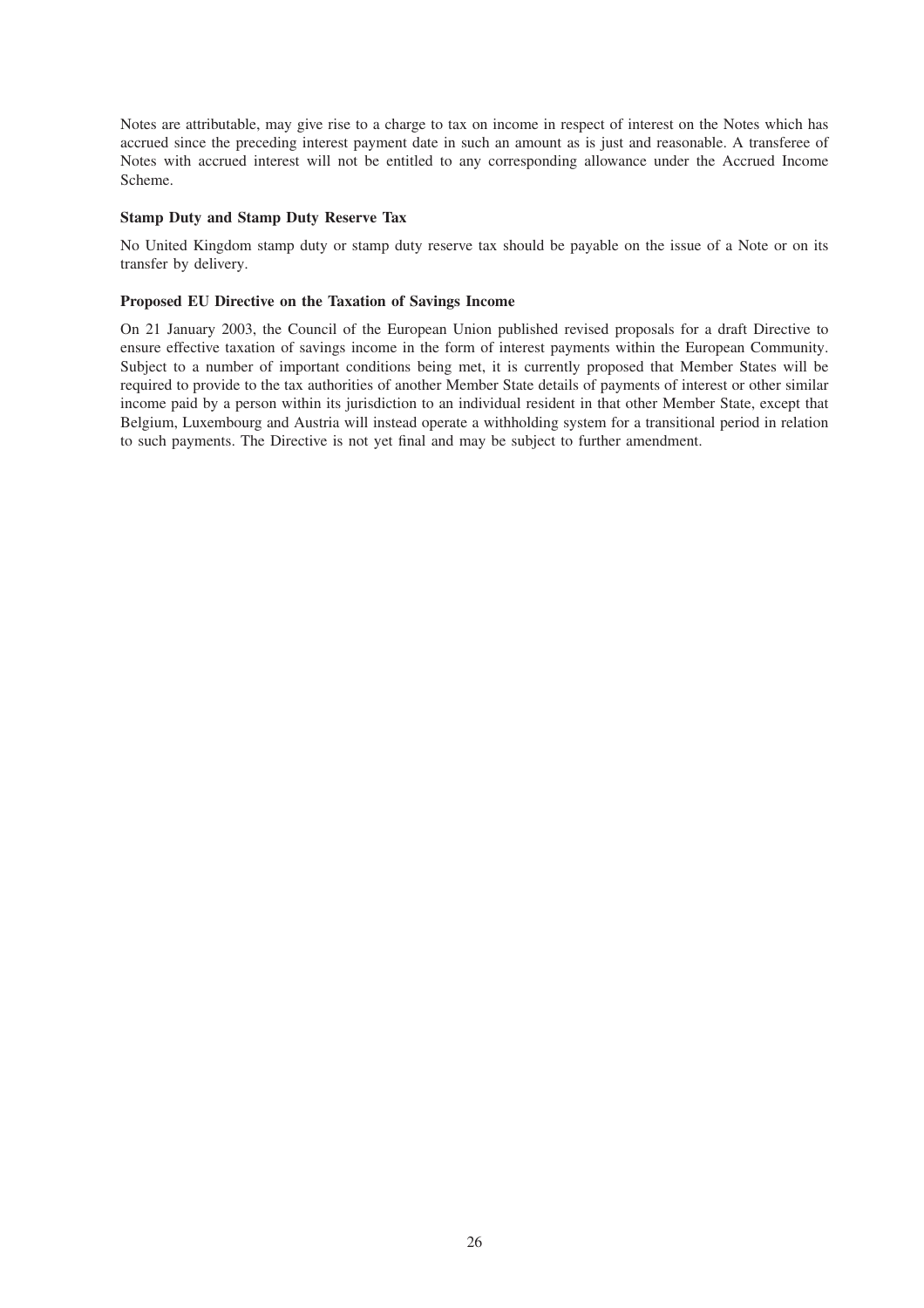Notes are attributable, may give rise to a charge to tax on income in respect of interest on the Notes which has accrued since the preceding interest payment date in such an amount as is just and reasonable. A transferee of Notes with accrued interest will not be entitled to any corresponding allowance under the Accrued Income Scheme.

# **Stamp Duty and Stamp Duty Reserve Tax**

No United Kingdom stamp duty or stamp duty reserve tax should be payable on the issue of a Note or on its transfer by delivery.

# **Proposed EU Directive on the Taxation of Savings Income**

On 21 January 2003, the Council of the European Union published revised proposals for a draft Directive to ensure effective taxation of savings income in the form of interest payments within the European Community. Subject to a number of important conditions being met, it is currently proposed that Member States will be required to provide to the tax authorities of another Member State details of payments of interest or other similar income paid by a person within its jurisdiction to an individual resident in that other Member State, except that Belgium, Luxembourg and Austria will instead operate a withholding system for a transitional period in relation to such payments. The Directive is not yet final and may be subject to further amendment.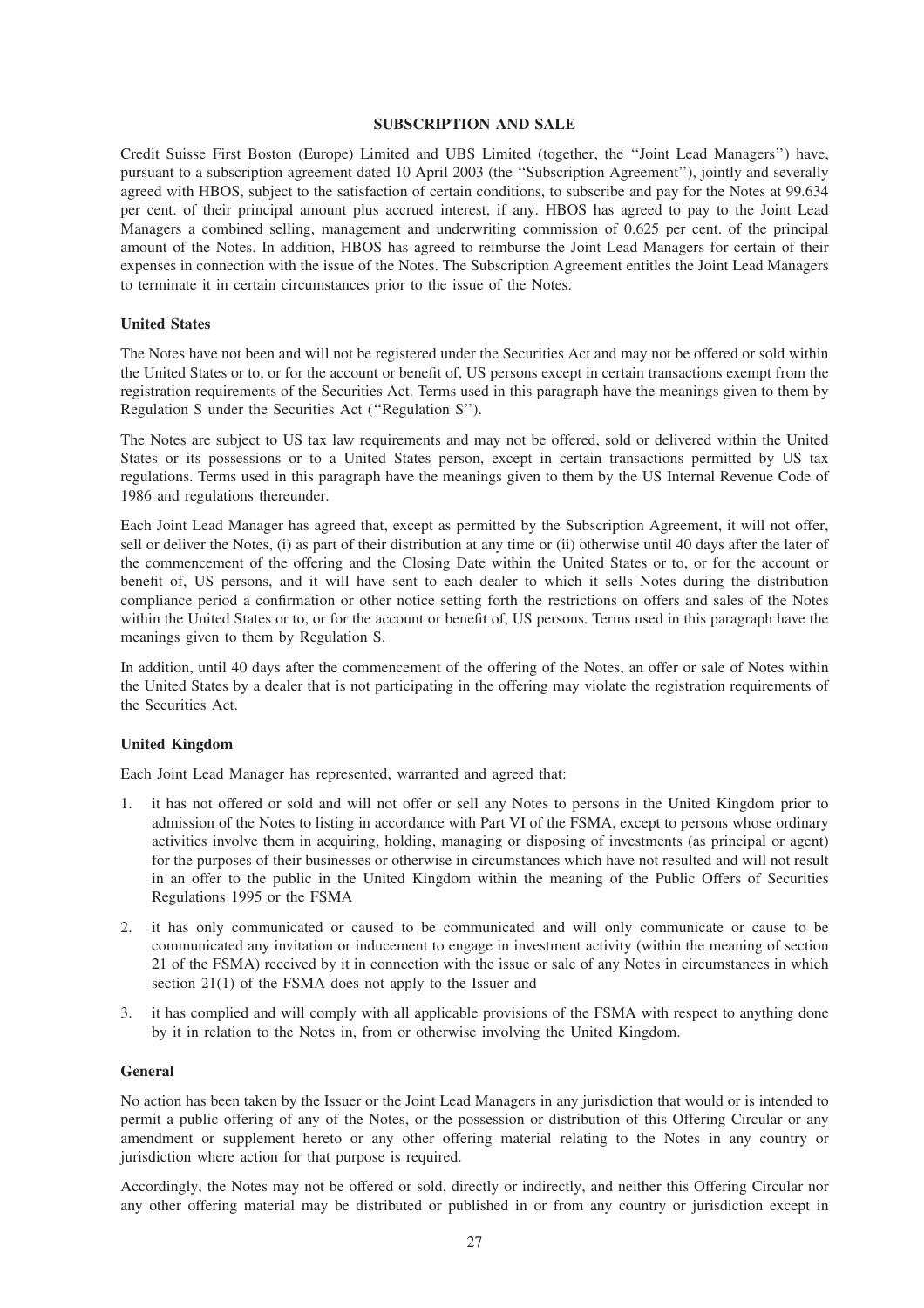#### **SUBSCRIPTION AND SALE**

Credit Suisse First Boston (Europe) Limited and UBS Limited (together, the ''Joint Lead Managers'') have, pursuant to a subscription agreement dated 10 April 2003 (the ''Subscription Agreement''), jointly and severally agreed with HBOS, subject to the satisfaction of certain conditions, to subscribe and pay for the Notes at 99.634 per cent. of their principal amount plus accrued interest, if any. HBOS has agreed to pay to the Joint Lead Managers a combined selling, management and underwriting commission of 0.625 per cent. of the principal amount of the Notes. In addition, HBOS has agreed to reimburse the Joint Lead Managers for certain of their expenses in connection with the issue of the Notes. The Subscription Agreement entitles the Joint Lead Managers to terminate it in certain circumstances prior to the issue of the Notes.

#### **United States**

The Notes have not been and will not be registered under the Securities Act and may not be offered or sold within the United States or to, or for the account or benefit of, US persons except in certain transactions exempt from the registration requirements of the Securities Act. Terms used in this paragraph have the meanings given to them by Regulation S under the Securities Act (''Regulation S'').

The Notes are subject to US tax law requirements and may not be offered, sold or delivered within the United States or its possessions or to a United States person, except in certain transactions permitted by US tax regulations. Terms used in this paragraph have the meanings given to them by the US Internal Revenue Code of 1986 and regulations thereunder.

Each Joint Lead Manager has agreed that, except as permitted by the Subscription Agreement, it will not offer, sell or deliver the Notes, (i) as part of their distribution at any time or (ii) otherwise until 40 days after the later of the commencement of the offering and the Closing Date within the United States or to, or for the account or benefit of, US persons, and it will have sent to each dealer to which it sells Notes during the distribution compliance period a confirmation or other notice setting forth the restrictions on offers and sales of the Notes within the United States or to, or for the account or benefit of, US persons. Terms used in this paragraph have the meanings given to them by Regulation S.

In addition, until 40 days after the commencement of the offering of the Notes, an offer or sale of Notes within the United States by a dealer that is not participating in the offering may violate the registration requirements of the Securities Act.

#### **United Kingdom**

Each Joint Lead Manager has represented, warranted and agreed that:

- 1. it has not offered or sold and will not offer or sell any Notes to persons in the United Kingdom prior to admission of the Notes to listing in accordance with Part VI of the FSMA, except to persons whose ordinary activities involve them in acquiring, holding, managing or disposing of investments (as principal or agent) for the purposes of their businesses or otherwise in circumstances which have not resulted and will not result in an offer to the public in the United Kingdom within the meaning of the Public Offers of Securities Regulations 1995 or the FSMA
- 2. it has only communicated or caused to be communicated and will only communicate or cause to be communicated any invitation or inducement to engage in investment activity (within the meaning of section 21 of the FSMA) received by it in connection with the issue or sale of any Notes in circumstances in which section 21(1) of the FSMA does not apply to the Issuer and
- 3. it has complied and will comply with all applicable provisions of the FSMA with respect to anything done by it in relation to the Notes in, from or otherwise involving the United Kingdom.

#### **General**

No action has been taken by the Issuer or the Joint Lead Managers in any jurisdiction that would or is intended to permit a public offering of any of the Notes, or the possession or distribution of this Offering Circular or any amendment or supplement hereto or any other offering material relating to the Notes in any country or jurisdiction where action for that purpose is required.

Accordingly, the Notes may not be offered or sold, directly or indirectly, and neither this Offering Circular nor any other offering material may be distributed or published in or from any country or jurisdiction except in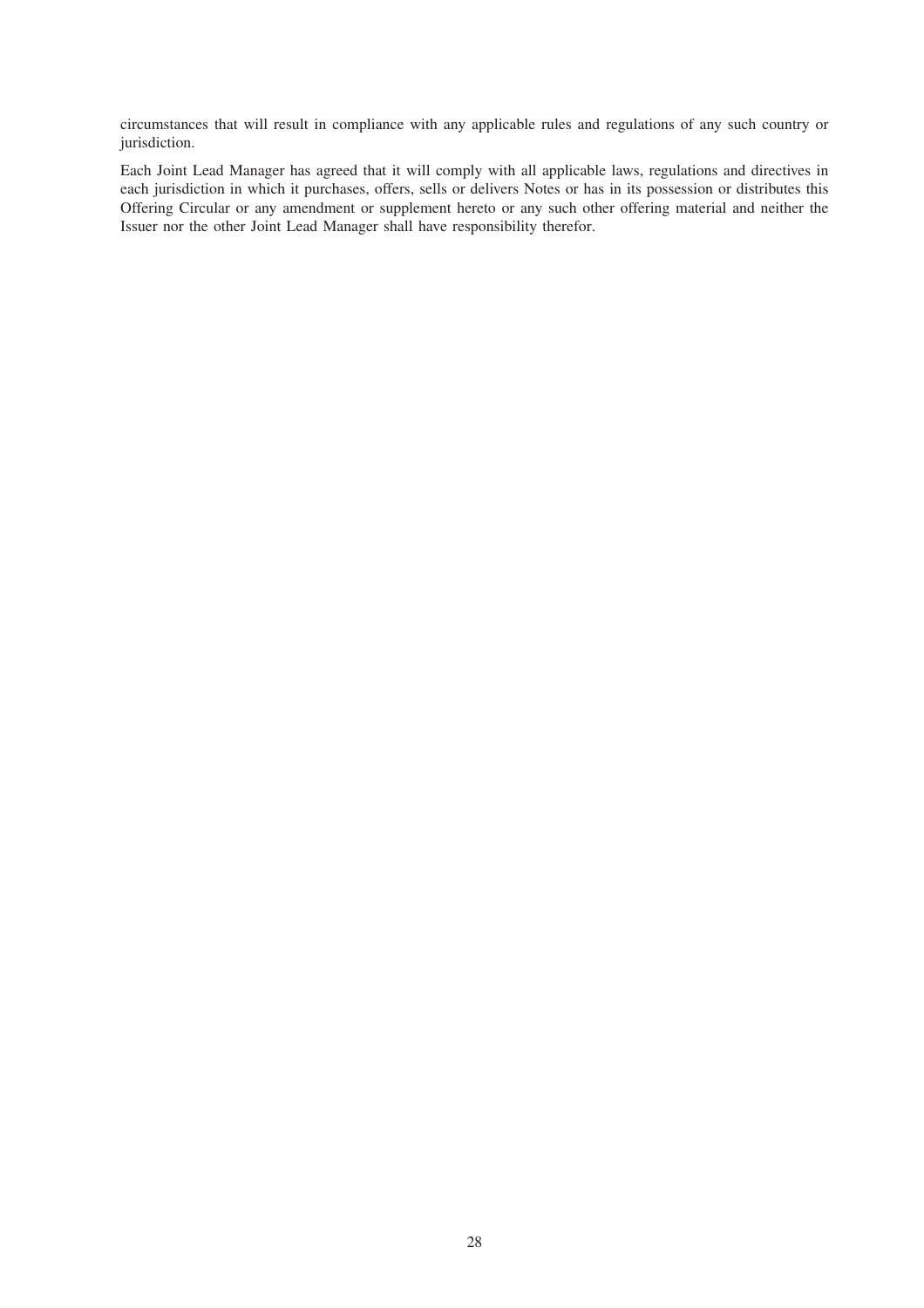circumstances that will result in compliance with any applicable rules and regulations of any such country or jurisdiction.

Each Joint Lead Manager has agreed that it will comply with all applicable laws, regulations and directives in each jurisdiction in which it purchases, offers, sells or delivers Notes or has in its possession or distributes this Offering Circular or any amendment or supplement hereto or any such other offering material and neither the Issuer nor the other Joint Lead Manager shall have responsibility therefor.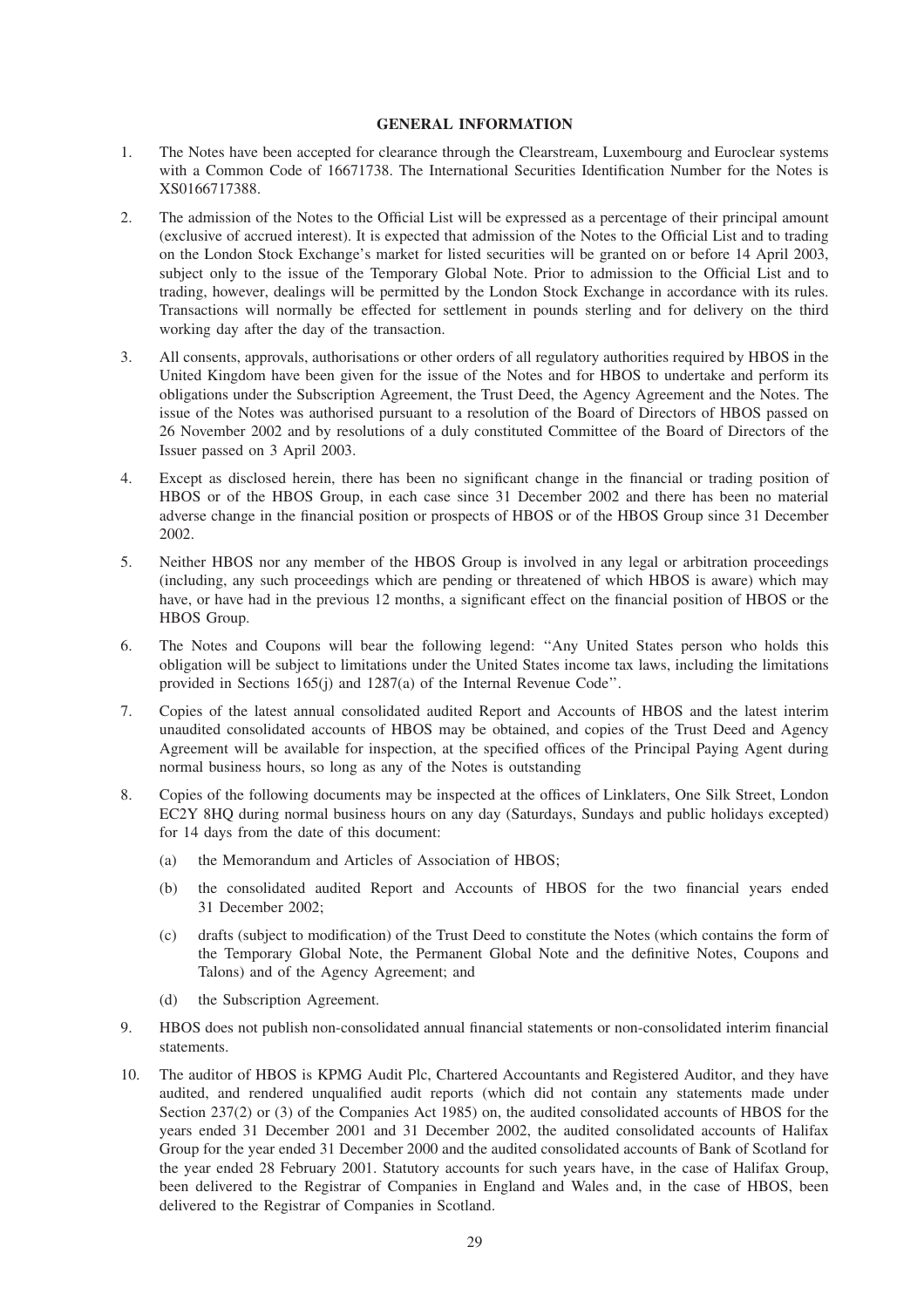#### **GENERAL INFORMATION**

- 1. The Notes have been accepted for clearance through the Clearstream, Luxembourg and Euroclear systems with a Common Code of 16671738. The International Securities Identification Number for the Notes is XS0166717388.
- 2. The admission of the Notes to the Official List will be expressed as a percentage of their principal amount (exclusive of accrued interest). It is expected that admission of the Notes to the Official List and to trading on the London Stock Exchange's market for listed securities will be granted on or before 14 April 2003, subject only to the issue of the Temporary Global Note. Prior to admission to the Official List and to trading, however, dealings will be permitted by the London Stock Exchange in accordance with its rules. Transactions will normally be effected for settlement in pounds sterling and for delivery on the third working day after the day of the transaction.
- 3. All consents, approvals, authorisations or other orders of all regulatory authorities required by HBOS in the United Kingdom have been given for the issue of the Notes and for HBOS to undertake and perform its obligations under the Subscription Agreement, the Trust Deed, the Agency Agreement and the Notes. The issue of the Notes was authorised pursuant to a resolution of the Board of Directors of HBOS passed on 26 November 2002 and by resolutions of a duly constituted Committee of the Board of Directors of the Issuer passed on 3 April 2003.
- 4. Except as disclosed herein, there has been no significant change in the financial or trading position of HBOS or of the HBOS Group, in each case since 31 December 2002 and there has been no material adverse change in the financial position or prospects of HBOS or of the HBOS Group since 31 December 2002.
- 5. Neither HBOS nor any member of the HBOS Group is involved in any legal or arbitration proceedings (including, any such proceedings which are pending or threatened of which HBOS is aware) which may have, or have had in the previous 12 months, a significant effect on the financial position of HBOS or the HBOS Group.
- 6. The Notes and Coupons will bear the following legend: ''Any United States person who holds this obligation will be subject to limitations under the United States income tax laws, including the limitations provided in Sections 165(j) and 1287(a) of the Internal Revenue Code''.
- 7. Copies of the latest annual consolidated audited Report and Accounts of HBOS and the latest interim unaudited consolidated accounts of HBOS may be obtained, and copies of the Trust Deed and Agency Agreement will be available for inspection, at the specified offices of the Principal Paying Agent during normal business hours, so long as any of the Notes is outstanding
- 8. Copies of the following documents may be inspected at the offices of Linklaters, One Silk Street, London EC2Y 8HQ during normal business hours on any day (Saturdays, Sundays and public holidays excepted) for 14 days from the date of this document:
	- (a) the Memorandum and Articles of Association of HBOS;
	- (b) the consolidated audited Report and Accounts of HBOS for the two financial years ended 31 December 2002;
	- (c) drafts (subject to modification) of the Trust Deed to constitute the Notes (which contains the form of the Temporary Global Note, the Permanent Global Note and the definitive Notes, Coupons and Talons) and of the Agency Agreement; and
	- (d) the Subscription Agreement.
- 9. HBOS does not publish non-consolidated annual financial statements or non-consolidated interim financial statements.
- 10. The auditor of HBOS is KPMG Audit Plc, Chartered Accountants and Registered Auditor, and they have audited, and rendered unqualified audit reports (which did not contain any statements made under Section 237(2) or (3) of the Companies Act 1985) on, the audited consolidated accounts of HBOS for the years ended 31 December 2001 and 31 December 2002, the audited consolidated accounts of Halifax Group for the year ended 31 December 2000 and the audited consolidated accounts of Bank of Scotland for the year ended 28 February 2001. Statutory accounts for such years have, in the case of Halifax Group, been delivered to the Registrar of Companies in England and Wales and, in the case of HBOS, been delivered to the Registrar of Companies in Scotland.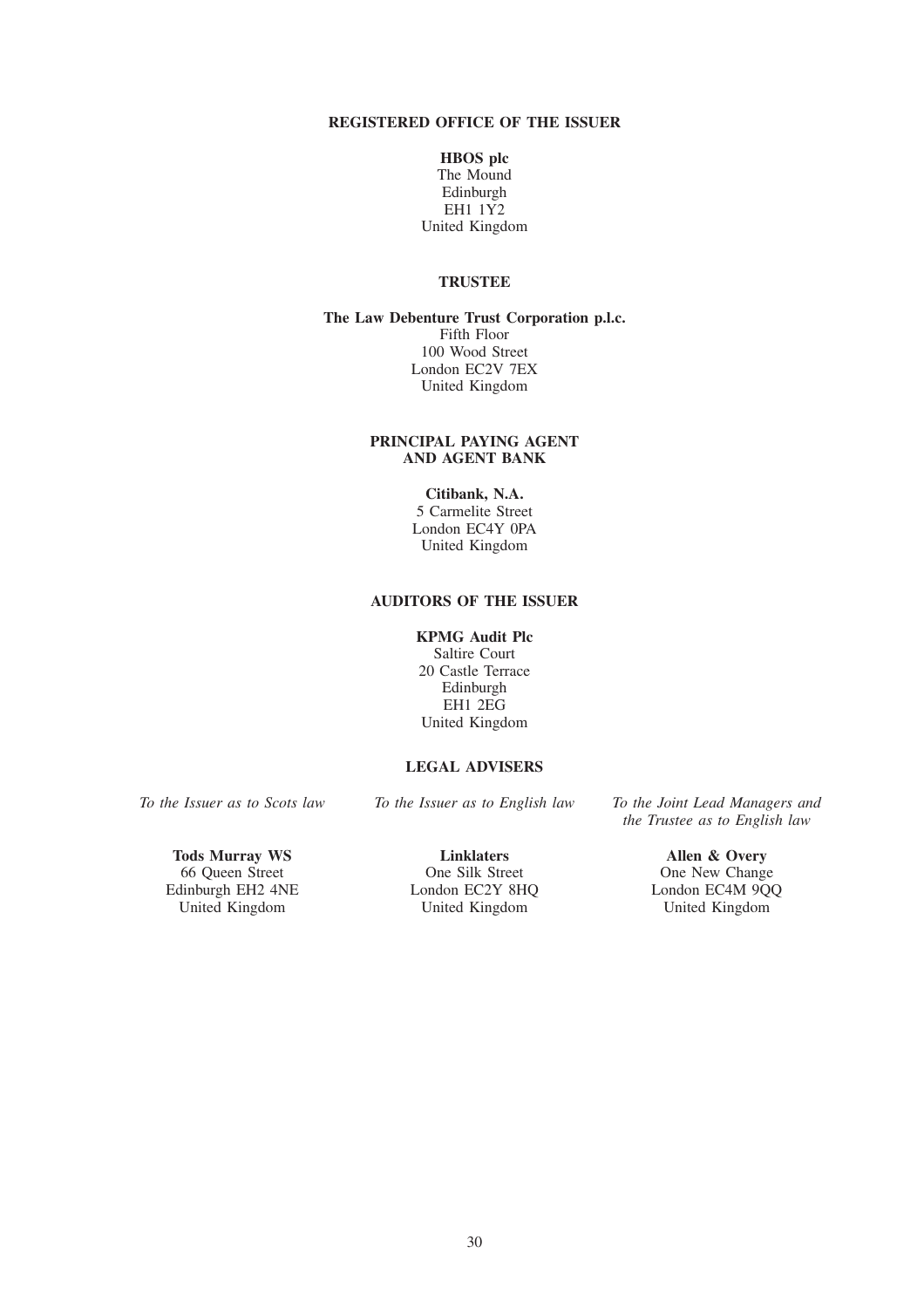# **REGISTERED OFFICE OF THE ISSUER**

**HBOS plc** The Mound Edinburgh EH1 1Y2 United Kingdom

# **TRUSTEE**

**The Law Debenture Trust Corporation p.l.c.** Fifth Floor 100 Wood Street London EC2V 7EX United Kingdom

# **PRINCIPAL PAYING AGENT AND AGENT BANK**

# **Citibank, N.A.**

5 Carmelite Street London EC4Y 0PA United Kingdom

# **AUDITORS OF THE ISSUER**

# **KPMG Audit Plc**

Saltire Court 20 Castle Terrace Edinburgh EH1 2EG United Kingdom

# **LEGAL ADVISERS**

**Tods Murray WS** Linklaters **Allen & Overy**<br>
66 Queen Street **Allen & Overy**<br>
One Silk Street **Allen & Overy** dinburgh EH2 4NE London EC2Y 8HQ London EC4M 9Q<br>
United Kingdom United Kingdom United Kingdom United Kingdom

*To the Issuer as to Scots law To the Issuer as to English law To the Joint Lead Managers and the Trustee as to English law*

66 Queen Street One Silk Street One New Change<br>Edinburgh EH2 4NE London EC2Y 8HQ London EC4M 9QQ